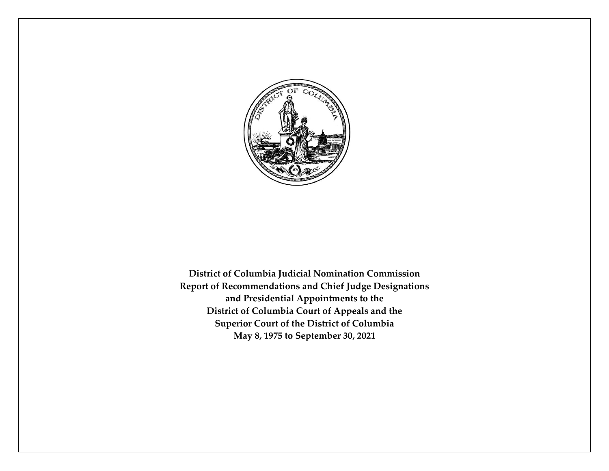

**District of Columbia Judicial Nomination Commission Report of Recommendations and Chief Judge Designations and Presidential Appointments to the District of Columbia Court of Appeals and the Superior Court of the District of Columbia May 8, 1975 to September 30, 2021**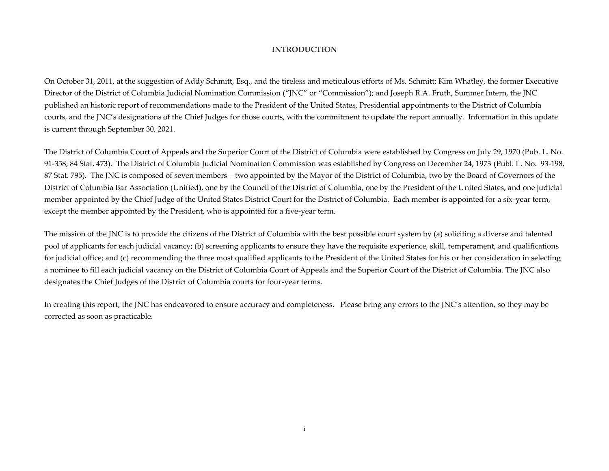#### **INTRODUCTION**

On October 31, 2011, at the suggestion of Addy Schmitt, Esq., and the tireless and meticulous efforts of Ms. Schmitt; Kim Whatley, the former Executive Director of the District of Columbia Judicial Nomination Commission ("JNC" or "Commission"); and Joseph R.A. Fruth, Summer Intern, the JNC published an historic report of recommendations made to the President of the United States, Presidential appointments to the District of Columbia courts, and the JNC's designations of the Chief Judges for those courts, with the commitment to update the report annually. Information in this update is current through September 30, 2021.

The District of Columbia Court of Appeals and the Superior Court of the District of Columbia were established by Congress on July 29, 1970 (Pub. L. No. 91-358, 84 Stat. 473). The District of Columbia Judicial Nomination Commission was established by Congress on December 24, 1973 (Publ. L. No. 93-198, 87 Stat. 795). The JNC is composed of seven members—two appointed by the Mayor of the District of Columbia, two by the Board of Governors of the District of Columbia Bar Association (Unified), one by the Council of the District of Columbia, one by the President of the United States, and one judicial member appointed by the Chief Judge of the United States District Court for the District of Columbia. Each member is appointed for a six-year term, except the member appointed by the President, who is appointed for a five-year term.

The mission of the JNC is to provide the citizens of the District of Columbia with the best possible court system by (a) soliciting a diverse and talented pool of applicants for each judicial vacancy; (b) screening applicants to ensure they have the requisite experience, skill, temperament, and qualifications for judicial office; and (c) recommending the three most qualified applicants to the President of the United States for his or her consideration in selecting a nominee to fill each judicial vacancy on the District of Columbia Court of Appeals and the Superior Court of the District of Columbia. The JNC also designates the Chief Judges of the District of Columbia courts for four-year terms.

In creating this report, the JNC has endeavored to ensure accuracy and completeness. Please bring any errors to the JNC's attention, so they may be corrected as soon as practicable.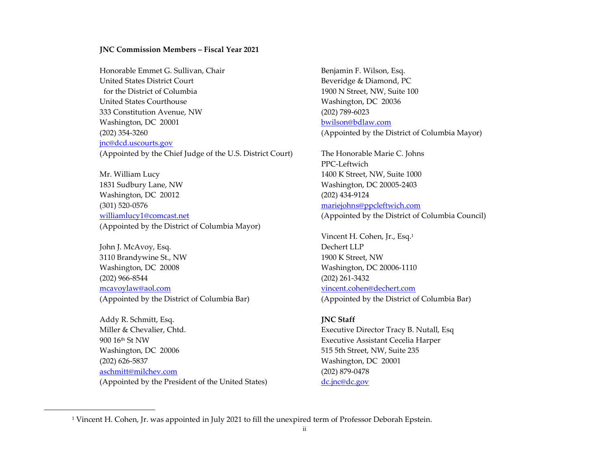#### **JNC Commission Members – Fiscal Year 2021**

Honorable Emmet G. Sullivan, Chair **Benjamin F. Wilson, Esq.** Benjamin F. Wilson, Esq. United States District Court **Beveridge & Diamond, PC**  for the District of Columbia 1900 N Street, NW, Suite 100 United States Courthouse Washington, DC 20036 333 Constitution Avenue, NW (202) 789-6023 Washington, DC 20001 [bwilson@bdlaw.com](mailto:bwilson@bdlaw.com) (202) 354-3260 (Appointed by the District of Columbia Mayor) [jnc@dcd.uscourts.gov](mailto:jnc@dcd.uscourts.gov) (Appointed by the Chief Judge of the U.S. District Court) The Honorable Marie C. Johns

Mr. William Lucy 1400 K Street, NW, Suite 1000 1831 Sudbury Lane, NW Washington, DC 20005-2403 Washington, DC 20012 (202) 434-9124 (301) 520-0576 [mariejohns@ppcleftwich.com](mailto:mariejohns@ppcleftwich.com) [williamlucy1@comcast.net](mailto:williamlucy1@comcast.net) (Appointed by the District of Columbia Council) (Appointed by the District of Columbia Mayor)

John J. McAvoy, Esq. Dechert LLP 3110 Brandywine St., NW 1900 K Street, NW Washington, DC 20008 Washington, DC 20006-1110 (202) 966-8544 (202) 261-3432 [mcavoylaw@aol.com](mailto:mcavoylaw@aol.com) [vincent.cohen@dechert.com](mailto:vincent.cohen@dechert.com) (Appointed by the District of Columbia Bar) (Appointed by the District of Columbia Bar)

Addy R. Schmitt, Esq. **JNC Staff** Miller & Chevalier, Chtd. The Chevalier, Chtd. Executive Director Tracy B. Nutall, Esq. 900 16th St NW Executive Assistant Cecelia Harper Washington, DC 20006 615 515 5th Street, NW, Suite 235 (202) 626-5837 Washington, DC 20001 [aschmitt@milchev.com](mailto:aschmitt@milchev.com) (202) 879-0478 (Appointed by the President of the United States) [dc.jnc@dc.gov](mailto:dc.jnc@dc.gov)

PPC-Leftwich

Vincent H. Cohen, Jr., Esq.<sup>1</sup>

<sup>1</sup> Vincent H. Cohen, Jr. was appointed in July 2021 to fill the unexpired term of Professor Deborah Epstein.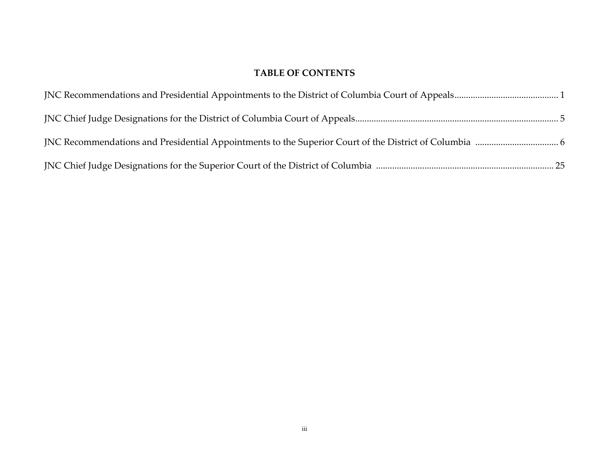# **TABLE OF CONTENTS**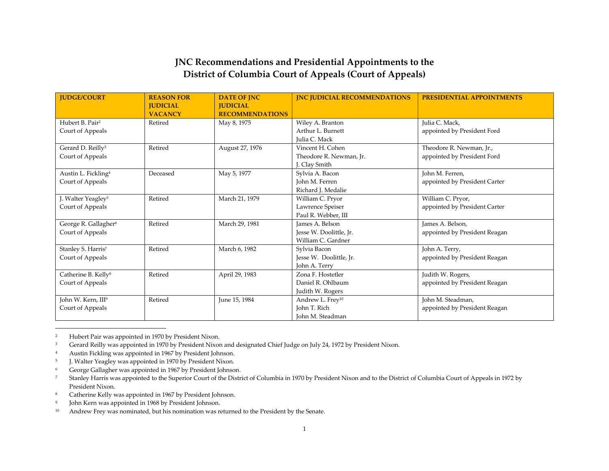## **JNC Recommendations and Presidential Appointments to the District of Columbia Court of Appeals (Court of Appeals)**

| <b>JUDGE/COURT</b>               | <b>REASON FOR</b> | <b>DATE OF JNC</b>     | <b>JNC JUDICIAL RECOMMENDATIONS</b> | <b>PRESIDENTIAL APPOINTMENTS</b> |
|----------------------------------|-------------------|------------------------|-------------------------------------|----------------------------------|
|                                  | <b>JUDICIAL</b>   | <b>JUDICIAL</b>        |                                     |                                  |
|                                  | <b>VACANCY</b>    | <b>RECOMMENDATIONS</b> |                                     |                                  |
| Hubert B. Pair <sup>2</sup>      | Retired           | May 8, 1975            | Wiley A. Branton                    | Julia C. Mack,                   |
| Court of Appeals                 |                   |                        | Arthur L. Burnett                   | appointed by President Ford      |
|                                  |                   |                        | Julia C. Mack                       |                                  |
| Gerard D. Reilly <sup>3</sup>    | Retired           | August 27, 1976        | Vincent H. Cohen                    | Theodore R. Newman, Jr.,         |
| Court of Appeals                 |                   |                        | Theodore R. Newman, Jr.             | appointed by President Ford      |
|                                  |                   |                        | J. Clay Smith                       |                                  |
| Austin L. Fickling <sup>4</sup>  | Deceased          | May 5, 1977            | Sylvia A. Bacon                     | John M. Ferren,                  |
| Court of Appeals                 |                   |                        | John M. Ferren                      | appointed by President Carter    |
|                                  |                   |                        | Richard J. Medalie                  |                                  |
| J. Walter Yeagley <sup>5</sup>   | Retired           | March 21, 1979         | William C. Pryor                    | William C. Pryor,                |
| Court of Appeals                 |                   |                        | Lawrence Speiser                    | appointed by President Carter    |
|                                  |                   |                        | Paul R. Webber, III                 |                                  |
| George R. Gallagher <sup>6</sup> | Retired           | March 29, 1981         | James A. Belson                     | James A. Belson,                 |
| Court of Appeals                 |                   |                        | Jesse W. Doolittle, Jr.             | appointed by President Reagan    |
|                                  |                   |                        | William C. Gardner                  |                                  |
| Stanley S. Harris <sup>7</sup>   | Retired           | March 6, 1982          | Sylvia Bacon                        | John A. Terry,                   |
| Court of Appeals                 |                   |                        | Jesse W. Doolittle, Jr.             | appointed by President Reagan    |
|                                  |                   |                        | John A. Terry                       |                                  |
| Catherine B. Kelly <sup>8</sup>  | Retired           | April 29, 1983         | Zona F. Hostetler                   | Judith W. Rogers,                |
| Court of Appeals                 |                   |                        | Daniel R. Ohlbaum                   | appointed by President Reagan    |
|                                  |                   |                        | Judith W. Rogers                    |                                  |
| John W. Kern, III <sup>9</sup>   | Retired           | June 15, 1984          | Andrew L. Frey <sup>10</sup>        | John M. Steadman,                |
| Court of Appeals                 |                   |                        | John T. Rich                        | appointed by President Reagan    |
|                                  |                   |                        | John M. Steadman                    |                                  |

2 Hubert Pair was appointed in 1970 by President Nixon.

- <sup>3</sup> Gerard Reilly was appointed in 1970 by President Nixon and designated Chief Judge on July 24, 1972 by President Nixon.
- 4 Austin Fickling was appointed in 1967 by President Johnson.
- 5 J. Walter Yeagley was appointed in 1970 by President Nixon.
- <sup>6</sup> George Gallagher was appointed in 1967 by President Johnson.
- <sup>7</sup> Stanley Harris was appointed to the Superior Court of the District of Columbia in 1970 by President Nixon and to the District of Columbia Court of Appeals in 1972 by President Nixon.
- <sup>8</sup> Catherine Kelly was appointed in 1967 by President Johnson.
- 9 John Kern was appointed in 1968 by President Johnson.
- 10 Andrew Frey was nominated, but his nomination was returned to the President by the Senate.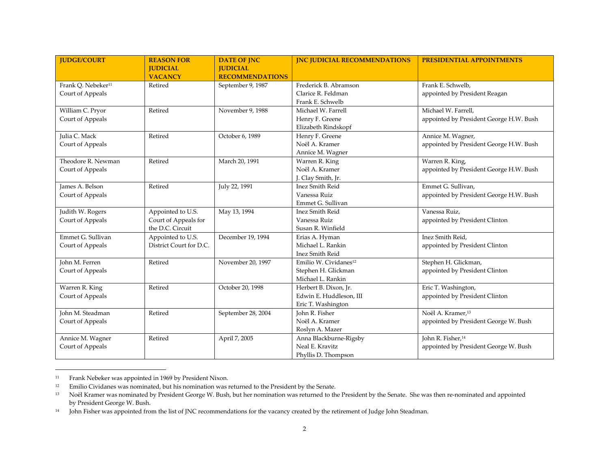| <b>IUDGE/COURT</b>             | <b>REASON FOR</b>       | <b>DATE OF JNC</b>     | <b>INC JUDICIAL RECOMMENDATIONS</b> | <b>PRESIDENTIAL APPOINTMENTS</b>        |
|--------------------------------|-------------------------|------------------------|-------------------------------------|-----------------------------------------|
|                                | <b>JUDICIAL</b>         | <b>JUDICIAL</b>        |                                     |                                         |
|                                | <b>VACANCY</b>          | <b>RECOMMENDATIONS</b> |                                     |                                         |
| Frank Q. Nebeker <sup>11</sup> | Retired                 | September 9, 1987      | Frederick B. Abramson               | Frank E. Schwelb,                       |
| Court of Appeals               |                         |                        | Clarice R. Feldman                  | appointed by President Reagan           |
|                                |                         |                        | Frank E. Schwelb                    |                                         |
| William C. Pryor               | Retired                 | November 9, 1988       | Michael W. Farrell                  | Michael W. Farrell,                     |
| Court of Appeals               |                         |                        | Henry F. Greene                     | appointed by President George H.W. Bush |
|                                |                         |                        | Elizabeth Rindskopf                 |                                         |
| Julia C. Mack                  | Retired                 | October 6, 1989        | Henry F. Greene                     | Annice M. Wagner,                       |
| Court of Appeals               |                         |                        | Noël A. Kramer                      | appointed by President George H.W. Bush |
|                                |                         |                        | Annice M. Wagner                    |                                         |
| Theodore R. Newman             | Retired                 | March 20, 1991         | Warren R. King                      | Warren R. King,                         |
| Court of Appeals               |                         |                        | Noël A. Kramer                      | appointed by President George H.W. Bush |
|                                |                         |                        | J. Clay Smith, Jr.                  |                                         |
| James A. Belson                | Retired                 | July 22, 1991          | <b>Inez Smith Reid</b>              | Emmet G. Sullivan,                      |
| Court of Appeals               |                         |                        | Vanessa Ruiz                        | appointed by President George H.W. Bush |
|                                |                         |                        | Emmet G. Sullivan                   |                                         |
| Judith W. Rogers               | Appointed to U.S.       | May 13, 1994           | <b>Inez Smith Reid</b>              | Vanessa Ruiz.                           |
| Court of Appeals               | Court of Appeals for    |                        | Vanessa Ruiz                        | appointed by President Clinton          |
|                                | the D.C. Circuit        |                        | Susan R. Winfield                   |                                         |
| Emmet G. Sullivan              | Appointed to U.S.       | December 19, 1994      | Erias A. Hyman                      | Inez Smith Reid.                        |
| Court of Appeals               | District Court for D.C. |                        | Michael L. Rankin                   | appointed by President Clinton          |
|                                |                         |                        | Inez Smith Reid                     |                                         |
| John M. Ferren                 | Retired                 | November 20, 1997      | Emilio W. Cividanes <sup>12</sup>   | Stephen H. Glickman,                    |
| Court of Appeals               |                         |                        | Stephen H. Glickman                 | appointed by President Clinton          |
|                                |                         |                        | Michael L. Rankin                   |                                         |
| Warren R. King                 | Retired                 | October 20, 1998       | Herbert B. Dixon, Jr.               | Eric T. Washington,                     |
| Court of Appeals               |                         |                        | Edwin E. Huddleson, III             | appointed by President Clinton          |
|                                |                         |                        | Eric T. Washington                  |                                         |
| John M. Steadman               | Retired                 | September 28, 2004     | John R. Fisher                      | Noël A. Kramer, <sup>13</sup>           |
| Court of Appeals               |                         |                        | Noël A. Kramer                      | appointed by President George W. Bush   |
|                                |                         |                        | Roslyn A. Mazer                     |                                         |
| Annice M. Wagner               | Retired                 | April 7, 2005          | Anna Blackburne-Rigsby              | John R. Fisher, <sup>14</sup>           |
| Court of Appeals               |                         |                        | Neal E. Kravitz                     | appointed by President George W. Bush   |
|                                |                         |                        | Phyllis D. Thompson                 |                                         |

<sup>11</sup> Frank Nebeker was appointed in 1969 by President Nixon.

<sup>&</sup>lt;sup>12</sup> Emilio Cividanes was nominated, but his nomination was returned to the President by the Senate.

<sup>&</sup>lt;sup>13</sup> Noël Kramer was nominated by President George W. Bush, but her nomination was returned to the President by the Senate. She was then re-nominated and appointed by President George W. Bush.

<sup>&</sup>lt;sup>14</sup> John Fisher was appointed from the list of JNC recommendations for the vacancy created by the retirement of Judge John Steadman.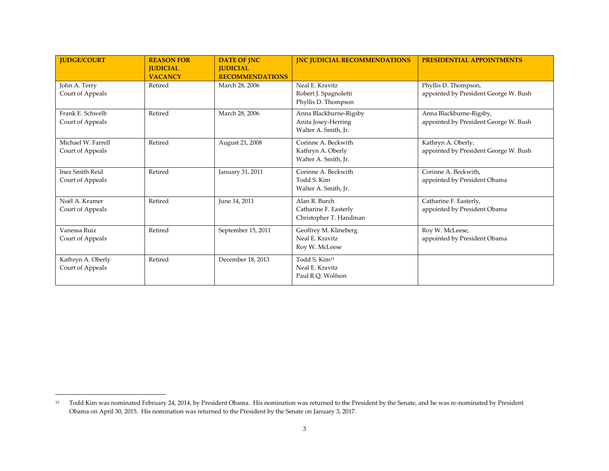| <b>JUDGE/COURT</b>                     | <b>REASON FOR</b><br><b>JUDICIAL</b> | <b>DATE OF JNC</b><br><b>JUDICIAL</b> | <b>INC JUDICIAL RECOMMENDATIONS</b>                                   | <b>PRESIDENTIAL APPOINTMENTS</b>                                 |
|----------------------------------------|--------------------------------------|---------------------------------------|-----------------------------------------------------------------------|------------------------------------------------------------------|
|                                        | <b>VACANCY</b>                       | <b>RECOMMENDATIONS</b>                |                                                                       |                                                                  |
| John A. Terry<br>Court of Appeals      | Retired                              | March 28, 2006                        | Neal E. Kravitz<br>Robert J. Spagnoletti<br>Phyllis D. Thompson       | Phyllis D. Thompson,<br>appointed by President George W. Bush    |
| Frank E. Schwelb<br>Court of Appeals   | Retired                              | March 28, 2006                        | Anna Blackburne-Rigsby<br>Anita Josey-Herring<br>Walter A. Smith, Jr. | Anna Blackburne-Rigsby,<br>appointed by President George W. Bush |
| Michael W. Farrell<br>Court of Appeals | Retired                              | August 21, 2008                       | Corinne A. Beckwith<br>Kathryn A. Oberly<br>Walter A. Smith, Jr.      | Kathryn A. Oberly,<br>appointed by President George W. Bush      |
| Inez Smith Reid<br>Court of Appeals    | Retired                              | January 31, 2011                      | Corinne A. Beckwith<br>Todd S. Kim<br>Walter A. Smith, Jr.            | Corinne A. Beckwith,<br>appointed by President Obama             |
| Noël A. Kramer<br>Court of Appeals     | Retired                              | June 14, 2011                         | Alan R. Burch<br>Catharine F. Easterly<br>Christopher T. Handman      | Catharine F. Easterly,<br>appointed by President Obama           |
| Vanessa Ruiz<br>Court of Appeals       | Retired                              | September 15, 2011                    | Geoffrey M. Klineberg<br>Neal E. Kravitz<br>Roy W. McLeese            | Roy W. McLeese,<br>appointed by President Obama                  |
| Kathryn A. Oberly<br>Court of Appeals  | Retired                              | December 18, 2013                     | Todd S. Kim <sup>15</sup><br>Neal E. Kravitz<br>Paul R.O. Wolfson     |                                                                  |

<sup>&</sup>lt;sup>15</sup> Todd Kim was nominated February 24, 2014, by President Obama. His nomination was returned to the President by the Senate, and he was re-nominated by President Obama on April 30, 2015. His nomination was returned to the President by the Senate on January 3, 2017.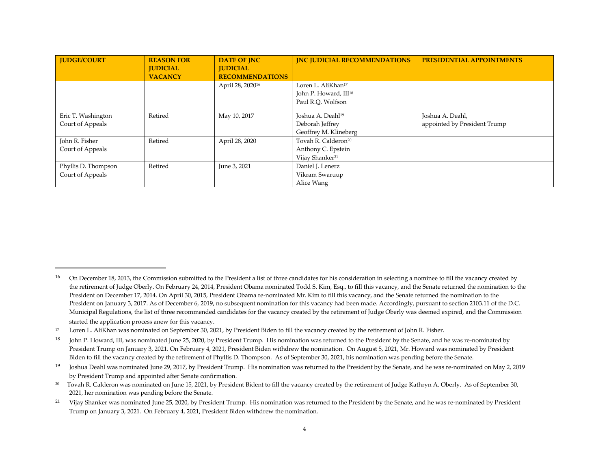| <b>IUDGE/COURT</b>  | <b>REASON FOR</b> | <b>DATE OF JNC</b>           | <b>INC JUDICIAL RECOMMENDATIONS</b> | <b>PRESIDENTIAL APPOINTMENTS</b> |
|---------------------|-------------------|------------------------------|-------------------------------------|----------------------------------|
|                     | <b>JUDICIAL</b>   | <b>IUDICIAL</b>              |                                     |                                  |
|                     | <b>VACANCY</b>    | <b>RECOMMENDATIONS</b>       |                                     |                                  |
|                     |                   | April 28, 2020 <sup>16</sup> | Loren L. AliKhan <sup>17</sup>      |                                  |
|                     |                   |                              | John P. Howard, III <sup>18</sup>   |                                  |
|                     |                   |                              | Paul R.O. Wolfson                   |                                  |
| Eric T. Washington  | Retired           | May 10, 2017                 | Joshua A. Deahl <sup>19</sup>       | Joshua A. Deahl,                 |
| Court of Appeals    |                   |                              | Deborah Jeffrey                     | appointed by President Trump     |
|                     |                   |                              | Geoffrey M. Klineberg               |                                  |
| John R. Fisher      | Retired           | April 28, 2020               | Tovah R. Calderon <sup>20</sup>     |                                  |
| Court of Appeals    |                   |                              | Anthony C. Epstein                  |                                  |
|                     |                   |                              | Vijay Shanker <sup>21</sup>         |                                  |
| Phyllis D. Thompson | Retired           | June 3, 2021                 | Daniel J. Lenerz                    |                                  |
| Court of Appeals    |                   |                              | Vikram Swaruup                      |                                  |
|                     |                   |                              | Alice Wang                          |                                  |

<sup>&</sup>lt;sup>16</sup> On December 18, 2013, the Commission submitted to the President a list of three candidates for his consideration in selecting a nominee to fill the vacancy created by the retirement of Judge Oberly. On February 24, 2014, President Obama nominated Todd S. Kim, Esq., to fill this vacancy, and the Senate returned the nomination to the President on December 17, 2014. On April 30, 2015, President Obama re-nominated Mr. Kim to fill this vacancy, and the Senate returned the nomination to the President on January 3, 2017. As of December 6, 2019, no subsequent nomination for this vacancy had been made. Accordingly, pursuant to section 2103.11 of the D.C. Municipal Regulations, the list of three recommended candidates for the vacancy created by the retirement of Judge Oberly was deemed expired, and the Commission started the application process anew for this vacancy.

<sup>&</sup>lt;sup>17</sup> Loren L. AliKhan was nominated on September 30, 2021, by President Biden to fill the vacancy created by the retirement of John R. Fisher.

 $^{18}$  John P. Howard, III, was nominated June 25, 2020, by President Trump. His nomination was returned to the President by the Senate, and he was re-nominated by President Trump on January 3, 2021. On February 4, 2021, President Biden withdrew the nomination. On August 5, 2021, Mr. Howard was nominated by President Biden to fill the vacancy created by the retirement of Phyllis D. Thompson. As of September 30, 2021, his nomination was pending before the Senate.

<sup>&</sup>lt;sup>19</sup> Joshua Deahl was nominated June 29, 2017, by President Trump. His nomination was returned to the President by the Senate, and he was re-nominated on May 2, 2019 by President Trump and appointed after Senate confirmation.

<sup>20</sup> Tovah R. Calderon was nominated on June 15, 2021, by President Bident to fill the vacancy created by the retirement of Judge Kathryn A. Oberly. As of September 30, 2021, her nomination was pending before the Senate.

<sup>&</sup>lt;sup>21</sup> Vijay Shanker was nominated June 25, 2020, by President Trump. His nomination was returned to the President by the Senate, and he was re-nominated by President Trump on January 3, 2021. On February 4, 2021, President Biden withdrew the nomination.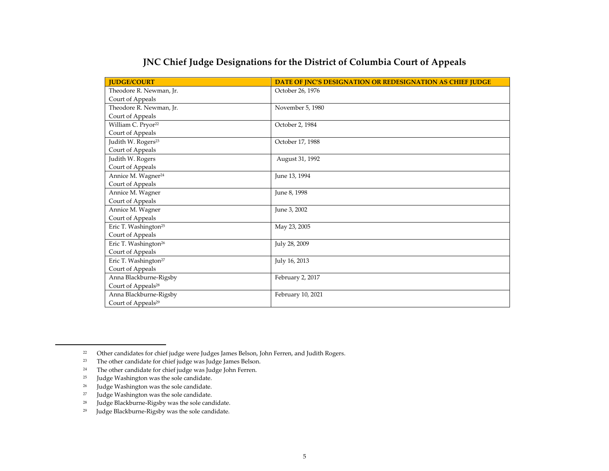| <b>JUDGE/COURT</b>               | DATE OF JNC'S DESIGNATION OR REDESIGNATION AS CHIEF JUDGE |
|----------------------------------|-----------------------------------------------------------|
| Theodore R. Newman, Jr.          | October 26, 1976                                          |
| Court of Appeals                 |                                                           |
| Theodore R. Newman, Jr.          | November 5, 1980                                          |
| Court of Appeals                 |                                                           |
| William C. Pryor <sup>22</sup>   | October 2, 1984                                           |
| Court of Appeals                 |                                                           |
| Judith W. Rogers <sup>23</sup>   | October 17, 1988                                          |
| Court of Appeals                 |                                                           |
| Judith W. Rogers                 | August 31, 1992                                           |
| Court of Appeals                 |                                                           |
| Annice M. Wagner <sup>24</sup>   | June 13, 1994                                             |
| Court of Appeals                 |                                                           |
| Annice M. Wagner                 | June 8, 1998                                              |
| Court of Appeals                 |                                                           |
| Annice M. Wagner                 | June 3, 2002                                              |
| Court of Appeals                 |                                                           |
| Eric T. Washington <sup>25</sup> | May 23, 2005                                              |
| Court of Appeals                 |                                                           |
| Eric T. Washington <sup>26</sup> | July 28, 2009                                             |
| Court of Appeals                 |                                                           |
| Eric T. Washington <sup>27</sup> | July 16, 2013                                             |
| Court of Appeals                 |                                                           |
| Anna Blackburne-Rigsby           | February 2, 2017                                          |
| Court of Appeals <sup>28</sup>   |                                                           |
| Anna Blackburne-Rigsby           | February 10, 2021                                         |
| Court of Appeals <sup>29</sup>   |                                                           |

## **JNC Chief Judge Designations for the District of Columbia Court of Appeals**

<sup>22</sup> Other candidates for chief judge were Judges James Belson, John Ferren, and Judith Rogers.

<sup>23</sup> The other candidate for chief judge was Judge James Belson.

<sup>24</sup> The other candidate for chief judge was Judge John Ferren.

 $25$  Judge Washington was the sole candidate.

<sup>&</sup>lt;sup>26</sup> Judge Washington was the sole candidate.<br><sup>27</sup> Judge Washington was the sole candidate

<sup>&</sup>lt;sup>27</sup> Judge Washington was the sole candidate.<br><sup>28</sup> Judge Blackburne-Rigsby was the sole cand

Judge Blackburne-Rigsby was the sole candidate.

<sup>29</sup> Judge Blackburne-Rigsby was the sole candidate.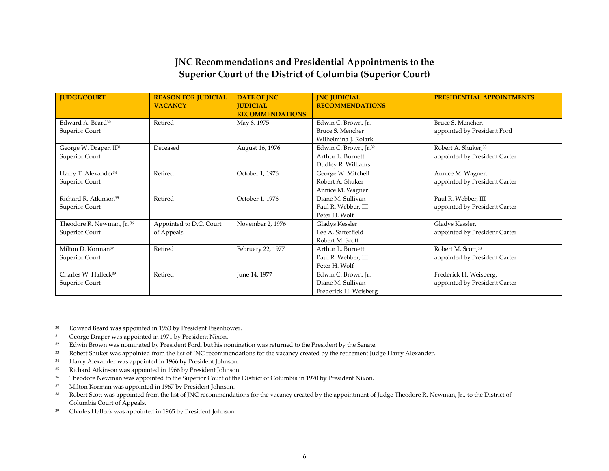## **JNC Recommendations and Presidential Appointments to the Superior Court of the District of Columbia (Superior Court)**

| <b>JUDGE/COURT</b>                                   | <b>REASON FOR JUDICIAL</b><br><b>VACANCY</b> | <b>DATE OF JNC</b><br><b>JUDICIAL</b><br><b>RECOMMENDATIONS</b> | <b>INC JUDICIAL</b><br><b>RECOMMENDATIONS</b>                                | <b>PRESIDENTIAL APPOINTMENTS</b>                        |
|------------------------------------------------------|----------------------------------------------|-----------------------------------------------------------------|------------------------------------------------------------------------------|---------------------------------------------------------|
| Edward A. Beard <sup>30</sup><br>Superior Court      | Retired                                      | May 8, 1975                                                     | Edwin C. Brown, Jr.<br>Bruce S. Mencher<br>Wilhelmina J. Rolark              | Bruce S. Mencher,<br>appointed by President Ford        |
| George W. Draper, II <sup>31</sup><br>Superior Court | Deceased                                     | August 16, 1976                                                 | Edwin C. Brown, Jr. <sup>32</sup><br>Arthur L. Burnett<br>Dudley R. Williams | Robert A. Shuker, 33<br>appointed by President Carter   |
| Harry T. Alexander <sup>34</sup><br>Superior Court   | Retired                                      | October 1, 1976                                                 | George W. Mitchell<br>Robert A. Shuker<br>Annice M. Wagner                   | Annice M. Wagner,<br>appointed by President Carter      |
| Richard R. Atkinson <sup>35</sup><br>Superior Court  | Retired                                      | October 1, 1976                                                 | Diane M. Sullivan<br>Paul R. Webber, III<br>Peter H. Wolf                    | Paul R. Webber, III<br>appointed by President Carter    |
| Theodore R. Newman, Jr. 36<br>Superior Court         | Appointed to D.C. Court<br>of Appeals        | November 2, 1976                                                | Gladys Kessler<br>Lee A. Satterfield<br>Robert M. Scott                      | Gladys Kessler,<br>appointed by President Carter        |
| Milton D. Korman <sup>37</sup><br>Superior Court     | Retired                                      | February 22, 1977                                               | Arthur L. Burnett<br>Paul R. Webber, III<br>Peter H. Wolf                    | Robert M. Scott, 38<br>appointed by President Carter    |
| Charles W. Halleck <sup>39</sup><br>Superior Court   | Retired                                      | June 14, 1977                                                   | Edwin C. Brown, Jr.<br>Diane M. Sullivan<br>Frederick H. Weisberg            | Frederick H. Weisberg,<br>appointed by President Carter |

<sup>30</sup> Edward Beard was appointed in 1953 by President Eisenhower.

<sup>31</sup> George Draper was appointed in 1971 by President Nixon.

<sup>32</sup> Edwin Brown was nominated by President Ford, but his nomination was returned to the President by the Senate.

<sup>33</sup> Robert Shuker was appointed from the list of JNC recommendations for the vacancy created by the retirement Judge Harry Alexander.

<sup>34</sup> Harry Alexander was appointed in 1966 by President Johnson.

<sup>35</sup> Richard Atkinson was appointed in 1966 by President Johnson.

<sup>&</sup>lt;sup>36</sup> Theodore Newman was appointed to the Superior Court of the District of Columbia in 1970 by President Nixon.

<sup>37</sup> Milton Korman was appointed in 1967 by President Johnson.

<sup>&</sup>lt;sup>38</sup> Robert Scott was appointed from the list of JNC recommendations for the vacancy created by the appointment of Judge Theodore R. Newman, Jr., to the District of Columbia Court of Appeals.

<sup>39</sup> Charles Halleck was appointed in 1965 by President Johnson.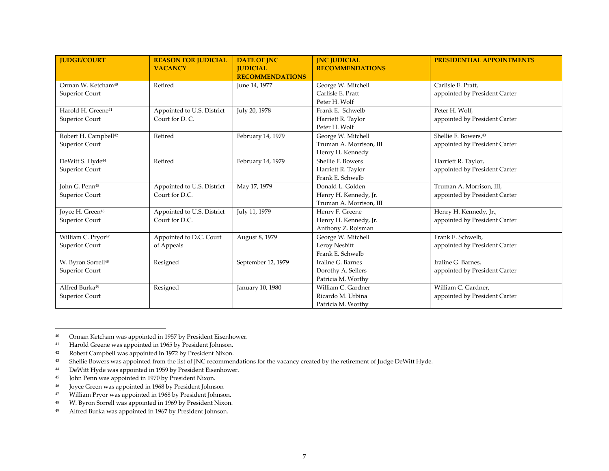| <b>IUDGE/COURT</b>                                 | <b>REASON FOR JUDICIAL</b><br><b>VACANCY</b> | <b>DATE OF INC</b><br><b>JUDICIAL</b><br><b>RECOMMENDATIONS</b> | <b>INC JUDICIAL</b><br><b>RECOMMENDATIONS</b>                        | <b>PRESIDENTIAL APPOINTMENTS</b>                          |
|----------------------------------------------------|----------------------------------------------|-----------------------------------------------------------------|----------------------------------------------------------------------|-----------------------------------------------------------|
| Orman W. Ketcham <sup>40</sup><br>Superior Court   | Retired                                      | June 14, 1977                                                   | George W. Mitchell<br>Carlisle E. Pratt<br>Peter H. Wolf             | Carlisle E. Pratt.<br>appointed by President Carter       |
| Harold H. Greene <sup>41</sup><br>Superior Court   | Appointed to U.S. District<br>Court for D.C. | July 20, 1978                                                   | Frank E. Schwelb<br>Harriett R. Taylor<br>Peter H. Wolf              | Peter H. Wolf,<br>appointed by President Carter           |
| Robert H. Campbell <sup>42</sup><br>Superior Court | Retired                                      | February 14, 1979                                               | George W. Mitchell<br>Truman A. Morrison, III<br>Henry H. Kennedy    | Shellie F. Bowers, 43<br>appointed by President Carter    |
| DeWitt S. Hyde <sup>44</sup><br>Superior Court     | Retired                                      | February 14, 1979                                               | Shellie F. Bowers<br>Harriett R. Taylor<br>Frank E. Schwelb          | Harriett R. Taylor,<br>appointed by President Carter      |
| John G. Penn <sup>45</sup><br>Superior Court       | Appointed to U.S. District<br>Court for D.C. | May 17, 1979                                                    | Donald L. Golden<br>Henry H. Kennedy, Jr.<br>Truman A. Morrison, III | Truman A. Morrison, III,<br>appointed by President Carter |
| Joyce H. Green <sup>46</sup><br>Superior Court     | Appointed to U.S. District<br>Court for D.C. | July 11, 1979                                                   | Henry F. Greene<br>Henry H. Kennedy, Jr.<br>Anthony Z. Roisman       | Henry H. Kennedy, Jr.,<br>appointed by President Carter   |
| William C. Pryor <sup>47</sup><br>Superior Court   | Appointed to D.C. Court<br>of Appeals        | August 8, 1979                                                  | George W. Mitchell<br>Leroy Nesbitt<br>Frank E. Schwelb              | Frank E. Schwelb,<br>appointed by President Carter        |
| W. Byron Sorrell <sup>48</sup><br>Superior Court   | Resigned                                     | September 12, 1979                                              | Iraline G. Barnes<br>Dorothy A. Sellers<br>Patricia M. Worthy        | Iraline G. Barnes,<br>appointed by President Carter       |
| Alfred Burka <sup>49</sup><br>Superior Court       | Resigned                                     | January 10, 1980                                                | William C. Gardner<br>Ricardo M. Urbina<br>Patricia M. Worthy        | William C. Gardner,<br>appointed by President Carter      |

<sup>40</sup> Orman Ketcham was appointed in 1957 by President Eisenhower.

- 47 William Pryor was appointed in 1968 by President Johnson.
- 48 W. Byron Sorrell was appointed in 1969 by President Nixon.
- 49 Alfred Burka was appointed in 1967 by President Johnson.

<sup>41</sup> Harold Greene was appointed in 1965 by President Johnson.

<sup>42</sup> Robert Campbell was appointed in 1972 by President Nixon.

<sup>43</sup> Shellie Bowers was appointed from the list of JNC recommendations for the vacancy created by the retirement of Judge DeWitt Hyde.

<sup>44</sup> DeWitt Hyde was appointed in 1959 by President Eisenhower.

<sup>45</sup> John Penn was appointed in 1970 by President Nixon.

<sup>46</sup> Joyce Green was appointed in 1968 by President Johnson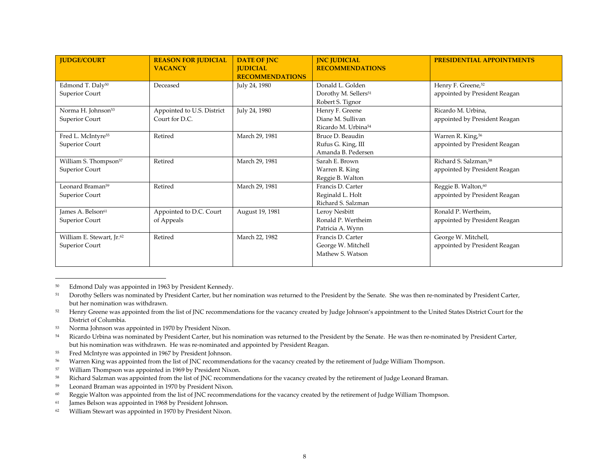| <b>JUDGE/COURT</b>                                      | <b>REASON FOR JUDICIAL</b><br><b>VACANCY</b> | <b>DATE OF JNC</b><br><b>JUDICIAL</b><br><b>RECOMMENDATIONS</b> | <b>INC JUDICIAL</b><br><b>RECOMMENDATIONS</b>                            | <b>PRESIDENTIAL APPOINTMENTS</b>                                   |
|---------------------------------------------------------|----------------------------------------------|-----------------------------------------------------------------|--------------------------------------------------------------------------|--------------------------------------------------------------------|
| Edmond T. Daly <sup>50</sup><br>Superior Court          | Deceased                                     | July 24, 1980                                                   | Donald L. Golden<br>Dorothy M. Sellers <sup>51</sup><br>Robert S. Tignor | Henry F. Greene, <sup>52</sup><br>appointed by President Reagan    |
| Norma H. Johnson <sup>53</sup><br>Superior Court        | Appointed to U.S. District<br>Court for D.C. | July 24, 1980                                                   | Henry F. Greene<br>Diane M. Sullivan<br>Ricardo M. Urbina <sup>54</sup>  | Ricardo M. Urbina,<br>appointed by President Reagan                |
| Fred L. McIntyre <sup>55</sup><br>Superior Court        | Retired                                      | March 29, 1981                                                  | Bruce D. Beaudin<br>Rufus G. King, III<br>Amanda B. Pedersen             | Warren R. King, 56<br>appointed by President Reagan                |
| William S. Thompson <sup>57</sup><br>Superior Court     | Retired                                      | March 29, 1981                                                  | Sarah E. Brown<br>Warren R. King<br>Reggie B. Walton                     | Richard S. Salzman, <sup>58</sup><br>appointed by President Reagan |
| Leonard Braman <sup>59</sup><br>Superior Court          | Retired                                      | March 29, 1981                                                  | Francis D. Carter<br>Reginald L. Holt<br>Richard S. Salzman              | Reggie B. Walton, <sup>60</sup><br>appointed by President Reagan   |
| James A. Belson <sup>61</sup><br>Superior Court         | Appointed to D.C. Court<br>of Appeals        | August 19, 1981                                                 | Leroy Nesbitt<br>Ronald P. Wertheim<br>Patricia A. Wynn                  | Ronald P. Wertheim,<br>appointed by President Reagan               |
| William E. Stewart, Jr. <sup>62</sup><br>Superior Court | Retired                                      | March 22, 1982                                                  | Francis D. Carter<br>George W. Mitchell<br>Mathew S. Watson              | George W. Mitchell,<br>appointed by President Reagan               |

50 Edmond Daly was appointed in 1963 by President Kennedy.

- <sup>52</sup> Henry Greene was appointed from the list of JNC recommendations for the vacancy created by Judge Johnson's appointment to the United States District Court for the District of Columbia.
- 53 Norma Johnson was appointed in 1970 by President Nixon.
- <sup>54</sup> Ricardo Urbina was nominated by President Carter, but his nomination was returned to the President by the Senate. He was then re-nominated by President Carter, but his nomination was withdrawn. He was re-nominated and appointed by President Reagan.
- 55 Fred McIntyre was appointed in 1967 by President Johnson.
- 56 Warren King was appointed from the list of JNC recommendations for the vacancy created by the retirement of Judge William Thompson.
- 57 William Thompson was appointed in 1969 by President Nixon.
- 58 Richard Salzman was appointed from the list of JNC recommendations for the vacancy created by the retirement of Judge Leonard Braman.
- 59 Leonard Braman was appointed in 1970 by President Nixon.
- 60 Reggie Walton was appointed from the list of JNC recommendations for the vacancy created by the retirement of Judge William Thompson.
- 61 James Belson was appointed in 1968 by President Johnson.
- 62 William Stewart was appointed in 1970 by President Nixon.

<sup>51</sup> Dorothy Sellers was nominated by President Carter, but her nomination was returned to the President by the Senate. She was then re-nominated by President Carter, but her nomination was withdrawn.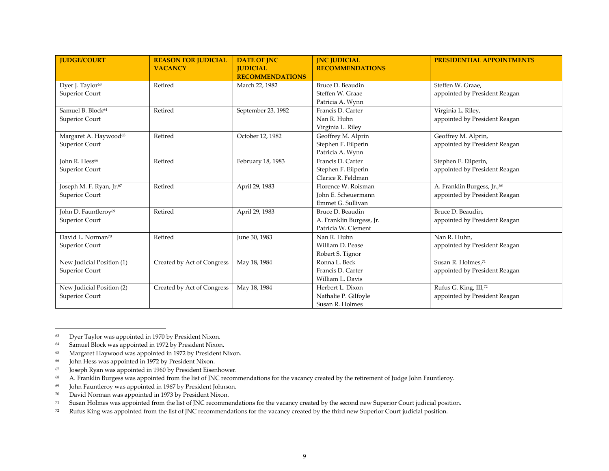| <b>IUDGE/COURT</b>                   | <b>REASON FOR JUDICIAL</b><br><b>VACANCY</b> | <b>DATE OF JNC</b><br><b>JUDICIAL</b><br><b>RECOMMENDATIONS</b> | <b>INC JUDICIAL</b><br><b>RECOMMENDATIONS</b> | <b>PRESIDENTIAL APPOINTMENTS</b>        |
|--------------------------------------|----------------------------------------------|-----------------------------------------------------------------|-----------------------------------------------|-----------------------------------------|
| Dyer J. Taylor <sup>63</sup>         | Retired                                      | March 22, 1982                                                  | Bruce D. Beaudin                              | Steffen W. Graae,                       |
| Superior Court                       |                                              |                                                                 | Steffen W. Graae                              | appointed by President Reagan           |
|                                      |                                              |                                                                 | Patricia A. Wynn                              |                                         |
| Samuel B. Block <sup>64</sup>        | Retired                                      | September 23, 1982                                              | Francis D. Carter                             | Virginia L. Riley,                      |
| Superior Court                       |                                              |                                                                 | Nan R. Huhn                                   | appointed by President Reagan           |
|                                      |                                              |                                                                 | Virginia L. Riley                             |                                         |
| Margaret A. Haywood <sup>65</sup>    | Retired                                      | October 12, 1982                                                | Geoffrey M. Alprin                            | Geoffrey M. Alprin,                     |
| Superior Court                       |                                              |                                                                 | Stephen F. Eilperin                           | appointed by President Reagan           |
|                                      |                                              |                                                                 | Patricia A. Wynn                              |                                         |
| John R. Hess <sup>66</sup>           | Retired                                      | February 18, 1983                                               | Francis D. Carter                             | Stephen F. Eilperin,                    |
| Superior Court                       |                                              |                                                                 | Stephen F. Eilperin                           | appointed by President Reagan           |
|                                      |                                              |                                                                 | Clarice R. Feldman                            |                                         |
| Joseph M. F. Ryan, Jr. <sup>67</sup> | Retired                                      | April 29, 1983                                                  | Florence W. Roisman                           | A. Franklin Burgess, Jr., <sup>68</sup> |
| Superior Court                       |                                              |                                                                 | John E. Scheuermann                           | appointed by President Reagan           |
|                                      |                                              |                                                                 | Emmet G. Sullivan                             |                                         |
| John D. Fauntleroy <sup>69</sup>     | Retired                                      | April 29, 1983                                                  | Bruce D. Beaudin                              | Bruce D. Beaudin,                       |
| Superior Court                       |                                              |                                                                 | A. Franklin Burgess, Jr.                      | appointed by President Reagan           |
|                                      |                                              |                                                                 | Patricia W. Clement                           |                                         |
| David L. Norman <sup>70</sup>        | Retired                                      | June 30, 1983                                                   | Nan R. Huhn                                   | Nan R. Huhn,                            |
| Superior Court                       |                                              |                                                                 | William D. Pease                              | appointed by President Reagan           |
|                                      |                                              |                                                                 | Robert S. Tignor                              |                                         |
| New Judicial Position (1)            | Created by Act of Congress                   | May 18, 1984                                                    | Ronna L. Beck                                 | Susan R. Holmes,71                      |
| Superior Court                       |                                              |                                                                 | Francis D. Carter                             | appointed by President Reagan           |
|                                      |                                              |                                                                 | William L. Davis                              |                                         |
| New Judicial Position (2)            | Created by Act of Congress                   | May 18, 1984                                                    | Herbert L. Dixon                              | Rufus G. King, III,72                   |
| Superior Court                       |                                              |                                                                 | Nathalie P. Gilfoyle                          | appointed by President Reagan           |
|                                      |                                              |                                                                 | Susan R. Holmes                               |                                         |

<sup>63</sup> Dyer Taylor was appointed in 1970 by President Nixon.

70 David Norman was appointed in 1973 by President Nixon.

<sup>64</sup> Samuel Block was appointed in 1972 by President Nixon.

<sup>65</sup> Margaret Haywood was appointed in 1972 by President Nixon.

<sup>66</sup> John Hess was appointed in 1972 by President Nixon.

<sup>67</sup> Joseph Ryan was appointed in 1960 by President Eisenhower.

<sup>68</sup> A. Franklin Burgess was appointed from the list of JNC recommendations for the vacancy created by the retirement of Judge John Fauntleroy.

<sup>69</sup> John Fauntleroy was appointed in 1967 by President Johnson.

<sup>71</sup> Susan Holmes was appointed from the list of JNC recommendations for the vacancy created by the second new Superior Court judicial position.

<sup>72</sup> Rufus King was appointed from the list of JNC recommendations for the vacancy created by the third new Superior Court judicial position.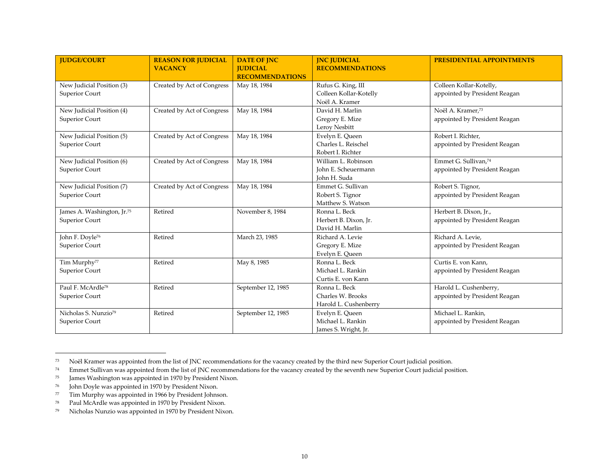| <b>JUDGE/COURT</b>                                       | <b>REASON FOR JUDICIAL</b><br><b>VACANCY</b> | <b>DATE OF JNC</b><br><b>JUDICIAL</b><br><b>RECOMMENDATIONS</b> | <b>INC JUDICIAL</b><br><b>RECOMMENDATIONS</b>                  | <b>PRESIDENTIAL APPOINTMENTS</b>                                  |
|----------------------------------------------------------|----------------------------------------------|-----------------------------------------------------------------|----------------------------------------------------------------|-------------------------------------------------------------------|
| New Judicial Position (3)<br>Superior Court              | Created by Act of Congress                   | May 18, 1984                                                    | Rufus G. King, III<br>Colleen Kollar-Kotelly<br>Noël A. Kramer | Colleen Kollar-Kotelly,<br>appointed by President Reagan          |
| New Judicial Position (4)<br>Superior Court              | Created by Act of Congress                   | May 18, 1984                                                    | David H. Marlin<br>Gregory E. Mize<br>Leroy Nesbitt            | Noël A. Kramer,73<br>appointed by President Reagan                |
| New Judicial Position (5)<br>Superior Court              | Created by Act of Congress                   | May 18, 1984                                                    | Evelyn E. Queen<br>Charles L. Reischel<br>Robert I. Richter    | Robert I. Richter,<br>appointed by President Reagan               |
| New Judicial Position (6)<br>Superior Court              | Created by Act of Congress                   | May 18, 1984                                                    | William L. Robinson<br>John E. Scheuermann<br>John H. Suda     | Emmet G. Sullivan. <sup>74</sup><br>appointed by President Reagan |
| New Judicial Position (7)<br>Superior Court              | Created by Act of Congress                   | May 18, 1984                                                    | Emmet G. Sullivan<br>Robert S. Tignor<br>Matthew S. Watson     | Robert S. Tignor,<br>appointed by President Reagan                |
| James A. Washington, Jr. <sup>75</sup><br>Superior Court | Retired                                      | November 8, 1984                                                | Ronna L. Beck<br>Herbert B. Dixon, Jr.<br>David H. Marlin      | Herbert B. Dixon, Jr.,<br>appointed by President Reagan           |
| John F. Doyle <sup>76</sup><br>Superior Court            | Retired                                      | March 23, 1985                                                  | Richard A. Levie<br>Gregory E. Mize<br>Evelyn E. Queen         | Richard A. Levie,<br>appointed by President Reagan                |
| Tim Murphy <sup>77</sup><br>Superior Court               | Retired                                      | May 8, 1985                                                     | Ronna L. Beck<br>Michael L. Rankin<br>Curtis E. von Kann       | Curtis E. von Kann,<br>appointed by President Reagan              |
| Paul F. McArdle <sup>78</sup><br>Superior Court          | Retired                                      | September 12, 1985                                              | Ronna L. Beck<br>Charles W. Brooks<br>Harold L. Cushenberry    | Harold L. Cushenberry,<br>appointed by President Reagan           |
| Nicholas S. Nunzio <sup>79</sup><br>Superior Court       | Retired                                      | September 12, 1985                                              | Evelyn E. Queen<br>Michael L. Rankin<br>James S. Wright, Jr.   | Michael L. Rankin.<br>appointed by President Reagan               |

<sup>73</sup> Noël Kramer was appointed from the list of JNC recommendations for the vacancy created by the third new Superior Court judicial position.

78 Paul McArdle was appointed in 1970 by President Nixon.

<sup>74</sup> Emmet Sullivan was appointed from the list of JNC recommendations for the vacancy created by the seventh new Superior Court judicial position.

<sup>75</sup> James Washington was appointed in 1970 by President Nixon.

<sup>76</sup> John Doyle was appointed in 1970 by President Nixon.

<sup>77</sup> Tim Murphy was appointed in 1966 by President Johnson.

<sup>79</sup> Nicholas Nunzio was appointed in 1970 by President Nixon.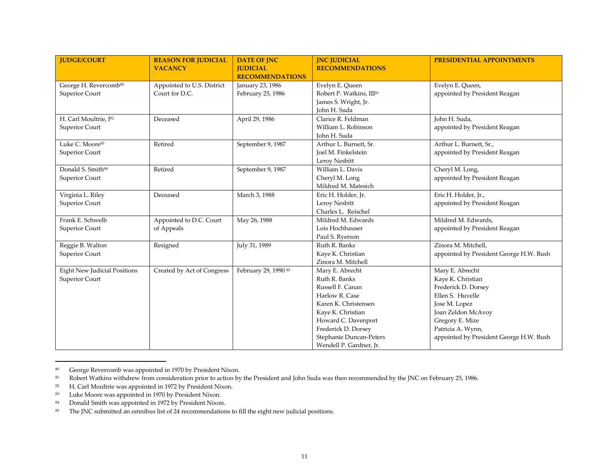| <b>IUDGE/COURT</b>                  | <b>REASON FOR JUDICIAL</b> | <b>DATE OF JNC</b>     | <b>INC JUDICIAL</b>                  | <b>PRESIDENTIAL APPOINTMENTS</b>        |
|-------------------------------------|----------------------------|------------------------|--------------------------------------|-----------------------------------------|
|                                     | <b>VACANCY</b>             | <b>JUDICIAL</b>        | <b>RECOMMENDATIONS</b>               |                                         |
|                                     |                            | <b>RECOMMENDATIONS</b> |                                      |                                         |
| George H. Revercomb <sup>80</sup>   | Appointed to U.S. District | January 23, 1986       | Evelyn E. Queen                      | Evelyn E. Queen,                        |
| <b>Superior Court</b>               | Court for D.C.             | February 25, 1986      | Robert P. Watkins, III <sup>81</sup> | appointed by President Reagan           |
|                                     |                            |                        | James S. Wright, Jr.                 |                                         |
|                                     |                            |                        | John H. Suda                         |                                         |
| H. Carl Moultrie, I82               | Deceased                   | April 29, 1986         | Clarice R. Feldman                   | John H. Suda,                           |
| Superior Court                      |                            |                        | William L. Robinson                  | appointed by President Reagan           |
|                                     |                            |                        | John H. Suda                         |                                         |
| Luke C. Moore <sup>83</sup>         | Retired                    | September 9, 1987      | Arthur L. Burnett, Sr.               | Arthur L. Burnett, Sr.,                 |
| Superior Court                      |                            |                        | Joel M. Finkelstein                  | appointed by President Reagan           |
|                                     |                            |                        | Leroy Nesbitt                        |                                         |
| Donald S. Smith <sup>84</sup>       | Retired                    | September 9, 1987      | William L. Davis                     | Cheryl M. Long,                         |
| <b>Superior Court</b>               |                            |                        | Cheryl M. Long                       | appointed by President Reagan           |
|                                     |                            |                        | Mildred M. Matesich                  |                                         |
| Virginia L. Riley                   | Deceased                   | March 3, 1988          | Eric H. Holder, Jr.                  | Eric H. Holder, Jr.,                    |
| Superior Court                      |                            |                        | Leroy Nesbitt                        | appointed by President Reagan           |
|                                     |                            |                        | Charles L. Reischel                  |                                         |
| Frank E. Schwelb                    | Appointed to D.C. Court    | May 26, 1988           | Mildred M. Edwards                   | Mildred M. Edwards,                     |
| Superior Court                      | of Appeals                 |                        | Lois Hochhauser                      | appointed by President Reagan           |
|                                     |                            |                        | Paul S. Ryerson                      |                                         |
| Reggie B. Walton                    | Resigned                   | July 31, 1989          | Ruth R. Banks                        | Zinora M. Mitchell,                     |
| <b>Superior Court</b>               |                            |                        | Kaye K. Christian                    | appointed by President George H.W. Bush |
|                                     |                            |                        | Zinora M. Mitchell                   |                                         |
| <b>Eight New Judicial Positions</b> | Created by Act of Congress | February 29, 1990 85   | Mary E. Abrecht                      | Mary E. Abrecht                         |
| Superior Court                      |                            |                        | Ruth R. Banks                        | Kaye K. Christian                       |
|                                     |                            |                        | Russell F. Canan                     | Frederick D. Dorsey                     |
|                                     |                            |                        | Harlow R. Case                       | Ellen S. Huvelle                        |
|                                     |                            |                        | Karen K. Christensen                 | Jose M. Lopez                           |
|                                     |                            |                        | Kaye K. Christian                    | Joan Zeldon McAvoy                      |
|                                     |                            |                        | Howard C. Davenport                  | Gregory E. Mize                         |
|                                     |                            |                        | Frederick D. Dorsey                  | Patricia A. Wynn,                       |
|                                     |                            |                        | Stephanie Duncan-Peters              | appointed by President George H.W. Bush |
|                                     |                            |                        | Wendell P. Gardner, Jr.              |                                         |

<sup>80</sup> George Revercomb was appointed in 1970 by President Nixon.

<sup>81</sup> Robert Watkins withdrew from consideration prior to action by the President and John Suda was then recommended by the JNC on February 25, 1986.

<sup>82</sup> H. Carl Moultrie was appointed in 1972 by President Nixon.

<sup>83</sup> Luke Moore was appointed in 1970 by President Nixon.

<sup>84</sup> Donald Smith was appointed in 1972 by President Nixon.

<sup>&</sup>lt;sup>85</sup> The JNC submitted an omnibus list of 24 recommendations to fill the eight new judicial positions.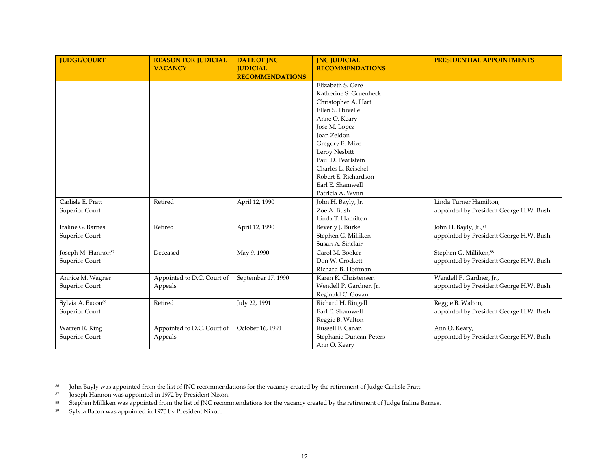| <b>IUDGE/COURT</b>             | <b>REASON FOR JUDICIAL</b> | <b>DATE OF JNC</b>     | <b>INC JUDICIAL</b>     | <b>PRESIDENTIAL APPOINTMENTS</b>        |
|--------------------------------|----------------------------|------------------------|-------------------------|-----------------------------------------|
|                                | <b>VACANCY</b>             | <b>JUDICIAL</b>        | <b>RECOMMENDATIONS</b>  |                                         |
|                                |                            | <b>RECOMMENDATIONS</b> |                         |                                         |
|                                |                            |                        | Elizabeth S. Gere       |                                         |
|                                |                            |                        | Katherine S. Gruenheck  |                                         |
|                                |                            |                        | Christopher A. Hart     |                                         |
|                                |                            |                        | Ellen S. Huvelle        |                                         |
|                                |                            |                        | Anne O. Keary           |                                         |
|                                |                            |                        | Jose M. Lopez           |                                         |
|                                |                            |                        | <b>Joan Zeldon</b>      |                                         |
|                                |                            |                        | Gregory E. Mize         |                                         |
|                                |                            |                        | Leroy Nesbitt           |                                         |
|                                |                            |                        | Paul D. Pearlstein      |                                         |
|                                |                            |                        | Charles L. Reischel     |                                         |
|                                |                            |                        | Robert E. Richardson    |                                         |
|                                |                            |                        | Earl E. Shamwell        |                                         |
|                                |                            |                        | Patricia A. Wynn        |                                         |
| Carlisle E. Pratt              | Retired                    | April 12, 1990         | John H. Bayly, Jr.      | Linda Turner Hamilton,                  |
| Superior Court                 |                            |                        | Zoe A. Bush             | appointed by President George H.W. Bush |
|                                |                            |                        | Linda T. Hamilton       |                                         |
| Iraline G. Barnes              | Retired                    | April 12, 1990         | Beverly J. Burke        | John H. Bayly, Jr., 86                  |
| Superior Court                 |                            |                        | Stephen G. Milliken     | appointed by President George H.W. Bush |
|                                |                            |                        | Susan A. Sinclair       |                                         |
| Joseph M. Hannon <sup>87</sup> | Deceased                   | May 9, 1990            | Carol M. Booker         | Stephen G. Milliken, 88                 |
| Superior Court                 |                            |                        | Don W. Crockett         | appointed by President George H.W. Bush |
|                                |                            |                        | Richard B. Hoffman      |                                         |
| Annice M. Wagner               | Appointed to D.C. Court of | September 17, 1990     | Karen K. Christensen    | Wendell P. Gardner, Jr.,                |
| Superior Court                 | Appeals                    |                        | Wendell P. Gardner, Jr. | appointed by President George H.W. Bush |
|                                |                            |                        | Reginald C. Govan       |                                         |
| Sylvia A. Bacon <sup>89</sup>  | Retired                    | July 22, 1991          | Richard H. Ringell      | Reggie B. Walton,                       |
| Superior Court                 |                            |                        | Earl E. Shamwell        | appointed by President George H.W. Bush |
|                                |                            |                        | Reggie B. Walton        |                                         |
| Warren R. King                 | Appointed to D.C. Court of | October 16, 1991       | Russell F. Canan        | Ann O. Keary,                           |
| Superior Court                 | Appeals                    |                        | Stephanie Duncan-Peters | appointed by President George H.W. Bush |
|                                |                            |                        | Ann O. Keary            |                                         |

<sup>86</sup> John Bayly was appointed from the list of JNC recommendations for the vacancy created by the retirement of Judge Carlisle Pratt.

<sup>87</sup> Joseph Hannon was appointed in 1972 by President Nixon.

<sup>88</sup> Stephen Milliken was appointed from the list of JNC recommendations for the vacancy created by the retirement of Judge Iraline Barnes.

<sup>89</sup> Sylvia Bacon was appointed in 1970 by President Nixon.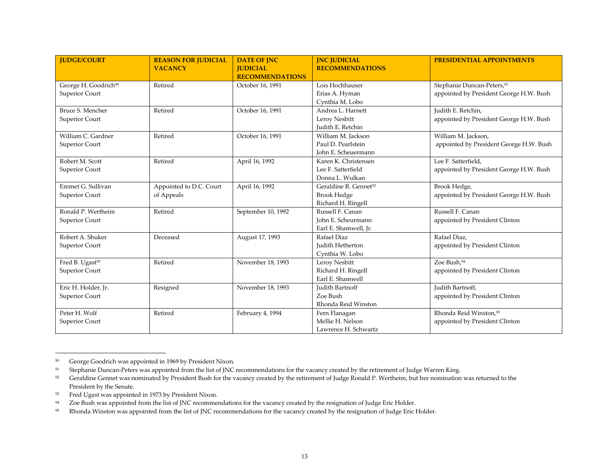| <b>JUDGE/COURT</b>                                 | <b>REASON FOR JUDICIAL</b><br><b>VACANCY</b> | <b>DATE OF INC</b><br><b>JUDICIAL</b><br><b>RECOMMENDATIONS</b> | <b>INC JUDICIAL</b><br><b>RECOMMENDATIONS</b>                                 | <b>PRESIDENTIAL APPOINTMENTS</b>                                                  |
|----------------------------------------------------|----------------------------------------------|-----------------------------------------------------------------|-------------------------------------------------------------------------------|-----------------------------------------------------------------------------------|
| George H. Goodrich <sup>90</sup><br>Superior Court | Retired                                      | October 16, 1991                                                | Lois Hochhauser<br>Erias A. Hyman<br>Cynthia M. Lobo                          | Stephanie Duncan-Peters, <sup>91</sup><br>appointed by President George H.W. Bush |
| Bruce S. Mencher<br>Superior Court                 | Retired                                      | October 16, 1991                                                | Andrea L. Harnett<br>Leroy Nesbitt<br>Judith E. Retchin                       | Judith E. Retchin,<br>appointed by President George H.W. Bush                     |
| William C. Gardner<br>Superior Court               | Retired                                      | October 16, 1991                                                | William M. Jackson<br>Paul D. Pearlstein<br>John E. Scheuermann               | William M. Jackson,<br>appointed by President George H.W. Bush                    |
| Robert M. Scott<br>Superior Court                  | Retired                                      | April 16, 1992                                                  | Karen K. Christensen<br>Lee F. Satterfield<br>Donna L. Wulkan                 | Lee F. Satterfield,<br>appointed by President George H.W. Bush                    |
| Emmet G. Sullivan<br>Superior Court                | Appointed to D.C. Court<br>of Appeals        | April 16, 1992                                                  | Geraldine R. Gennet <sup>92</sup><br><b>Brook Hedge</b><br>Richard H. Ringell | Brook Hedge,<br>appointed by President George H.W. Bush                           |
| Ronald P. Wertheim<br>Superior Court               | Retired                                      | September 10, 1992                                              | Russell F. Canan<br>John E. Scheurmann<br>Earl E. Shamwell, Jr.               | Russell F. Canan<br>appointed by President Clinton                                |
| Robert A. Shuker<br>Superior Court                 | Deceased                                     | August 17, 1993                                                 | Rafael Diaz<br><b>Judith Hetherton</b><br>Cynthia W. Lobo                     | Rafael Diaz,<br>appointed by President Clinton                                    |
| Fred B. Ugast <sup>93</sup><br>Superior Court      | Retired                                      | November 18, 1993                                               | Leroy Nesbitt<br>Richard H. Ringell<br>Earl E. Shamwell                       | Zoe Bush.94<br>appointed by President Clinton                                     |
| Eric H. Holder, Jr.<br>Superior Court              | Resigned                                     | November 18, 1993                                               | Judith Bartnoff<br>Zoe Bush<br>Rhonda Reid Winston                            | Judith Bartnoff,<br>appointed by President Clinton                                |
| Peter H. Wolf<br>Superior Court                    | Retired                                      | February 4, 1994                                                | Fern Flanagan<br>Mellie H. Nelson<br>Lawrence H. Schwartz                     | Rhonda Reid Winston, 95<br>appointed by President Clinton                         |

<sup>90</sup> George Goodrich was appointed in 1969 by President Nixon.

93 Fred Ugast was appointed in 1973 by President Nixon.

<sup>&</sup>lt;sup>91</sup> Stephanie Duncan-Peters was appointed from the list of JNC recommendations for the vacancy created by the retirement of Judge Warren King.

<sup>92</sup> Geraldine Gennet was nominated by President Bush for the vacancy created by the retirement of Judge Ronald P. Wertheim, but her nomination was returned to the President by the Senate.

<sup>94</sup> Zoe Bush was appointed from the list of JNC recommendations for the vacancy created by the resignation of Judge Eric Holder.

<sup>95</sup> Rhonda Winston was appointed from the list of JNC recommendations for the vacancy created by the resignation of Judge Eric Holder.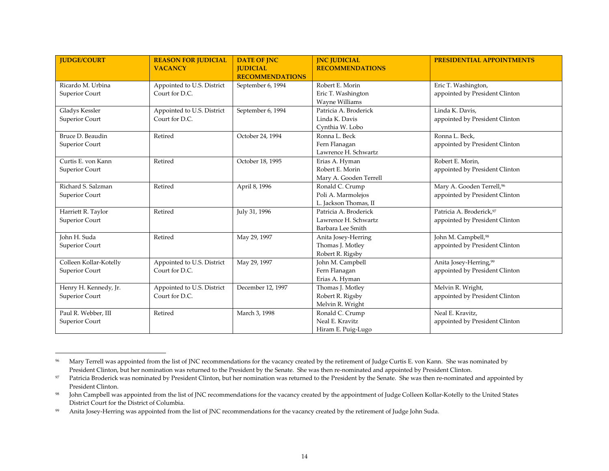| <b>IUDGE/COURT</b>                          | <b>REASON FOR JUDICIAL</b><br><b>VACANCY</b> | <b>DATE OF JNC</b><br><b>IUDICIAL</b><br><b>RECOMMENDATIONS</b> | <b>JNC JUDICIAL</b><br><b>RECOMMENDATIONS</b>                      | <b>PRESIDENTIAL APPOINTMENTS</b>                                        |
|---------------------------------------------|----------------------------------------------|-----------------------------------------------------------------|--------------------------------------------------------------------|-------------------------------------------------------------------------|
| Ricardo M. Urbina<br>Superior Court         | Appointed to U.S. District<br>Court for D.C. | September 6, 1994                                               | Robert E. Morin<br>Eric T. Washington<br><b>Wayne Williams</b>     | Eric T. Washington,<br>appointed by President Clinton                   |
| <b>Gladys Kessler</b><br>Superior Court     | Appointed to U.S. District<br>Court for D.C. | September 6, 1994                                               | Patricia A. Broderick<br>Linda K. Davis<br>Cynthia W. Lobo         | Linda K. Davis,<br>appointed by President Clinton                       |
| Bruce D. Beaudin<br>Superior Court          | Retired                                      | October 24, 1994                                                | Ronna L. Beck<br>Fern Flanagan<br>Lawrence H. Schwartz             | Ronna L. Beck,<br>appointed by President Clinton                        |
| Curtis E. von Kann<br>Superior Court        | Retired                                      | October 18, 1995                                                | Erias A. Hyman<br>Robert E. Morin<br>Mary A. Gooden Terrell        | Robert E. Morin.<br>appointed by President Clinton                      |
| Richard S. Salzman<br><b>Superior Court</b> | Retired                                      | April 8, 1996                                                   | Ronald C. Crump<br>Poli A. Marmolejos<br>L. Jackson Thomas, II     | Mary A. Gooden Terrell, <sup>96</sup><br>appointed by President Clinton |
| Harriett R. Taylor<br>Superior Court        | Retired                                      | July 31, 1996                                                   | Patricia A. Broderick<br>Lawrence H. Schwartz<br>Barbara Lee Smith | Patricia A. Broderick.97<br>appointed by President Clinton              |
| John H. Suda<br><b>Superior Court</b>       | Retired                                      | May 29, 1997                                                    | Anita Josey-Herring<br>Thomas J. Motley<br>Robert R. Rigsby        | John M. Campbell, <sup>98</sup><br>appointed by President Clinton       |
| Colleen Kollar-Kotelly<br>Superior Court    | Appointed to U.S. District<br>Court for D.C. | May 29, 1997                                                    | John M. Campbell<br>Fern Flanagan<br>Erias A. Hyman                | Anita Josey-Herring, <sup>99</sup><br>appointed by President Clinton    |
| Henry H. Kennedy, Jr.<br>Superior Court     | Appointed to U.S. District<br>Court for D.C. | December 12, 1997                                               | Thomas J. Motley<br>Robert R. Rigsby<br>Melvin R. Wright           | Melvin R. Wright,<br>appointed by President Clinton                     |
| Paul R. Webber, III<br>Superior Court       | Retired                                      | March 3, 1998                                                   | Ronald C. Crump<br>Neal E. Kravitz<br>Hiram E. Puig-Lugo           | Neal E. Kravitz.<br>appointed by President Clinton                      |

<sup>&</sup>lt;sup>96</sup> Mary Terrell was appointed from the list of JNC recommendations for the vacancy created by the retirement of Judge Curtis E. von Kann. She was nominated by President Clinton, but her nomination was returned to the President by the Senate. She was then re-nominated and appointed by President Clinton.

<sup>&</sup>lt;sup>97</sup> Patricia Broderick was nominated by President Clinton, but her nomination was returned to the President by the Senate. She was then re-nominated and appointed by President Clinton.

<sup>98</sup> John Campbell was appointed from the list of JNC recommendations for the vacancy created by the appointment of Judge Colleen Kollar-Kotelly to the United States District Court for the District of Columbia.

<sup>99</sup> Anita Josey-Herring was appointed from the list of JNC recommendations for the vacancy created by the retirement of Judge John Suda.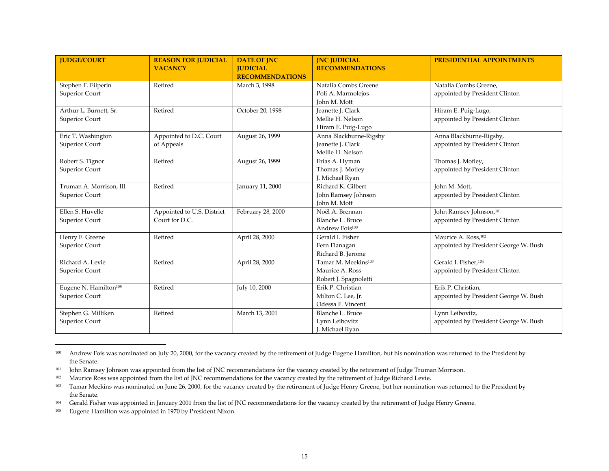| <b>IUDGE/COURT</b>                                  | <b>REASON FOR JUDICIAL</b><br><b>VACANCY</b> | <b>DATE OF JNC</b><br><b>IUDICIAL</b><br><b>RECOMMENDATIONS</b> | <b>INC JUDICIAL</b><br><b>RECOMMENDATIONS</b>                               | <b>PRESIDENTIAL APPOINTMENTS</b>                              |
|-----------------------------------------------------|----------------------------------------------|-----------------------------------------------------------------|-----------------------------------------------------------------------------|---------------------------------------------------------------|
| Stephen F. Eilperin<br>Superior Court               | Retired                                      | March 3, 1998                                                   | Natalia Combs Greene<br>Poli A. Marmolejos<br>John M. Mott                  | Natalia Combs Greene,<br>appointed by President Clinton       |
| Arthur L. Burnett, Sr.<br>Superior Court            | Retired                                      | October 20, 1998                                                | Jeanette J. Clark<br>Mellie H. Nelson<br>Hiram E. Puig-Lugo                 | Hiram E. Puig-Lugo,<br>appointed by President Clinton         |
| Eric T. Washington<br>Superior Court                | Appointed to D.C. Court<br>of Appeals        | August 26, 1999                                                 | Anna Blackburne-Rigsby<br>Jeanette J. Clark<br>Mellie H. Nelson             | Anna Blackburne-Rigsby,<br>appointed by President Clinton     |
| Robert S. Tignor<br>Superior Court                  | Retired                                      | August 26, 1999                                                 | Erias A. Hyman<br>Thomas J. Motley<br>J. Michael Ryan                       | Thomas J. Motley,<br>appointed by President Clinton           |
| Truman A. Morrison, III<br>Superior Court           | Retired                                      | January 11, 2000                                                | Richard K. Gilbert<br>John Ramsey Johnson<br>John M. Mott                   | John M. Mott,<br>appointed by President Clinton               |
| Ellen S. Huvelle<br>Superior Court                  | Appointed to U.S. District<br>Court for D.C. | February 28, 2000                                               | Noël A. Brennan<br>Blanche L. Bruce<br>Andrew Fois <sup>100</sup>           | John Ramsey Johnson, 101<br>appointed by President Clinton    |
| Henry F. Greene<br>Superior Court                   | Retired                                      | April 28, 2000                                                  | Gerald I. Fisher<br>Fern Flanagan<br>Richard B. Jerome                      | Maurice A. Ross, 102<br>appointed by President George W. Bush |
| Richard A. Levie<br>Superior Court                  | Retired                                      | April 28, 2000                                                  | Tamar M. Meekins <sup>103</sup><br>Maurice A. Ross<br>Robert J. Spagnoletti | Gerald I. Fisher, 104<br>appointed by President Clinton       |
| Eugene N. Hamilton <sup>105</sup><br>Superior Court | Retired                                      | July 10, 2000                                                   | Erik P. Christian<br>Milton C. Lee, Jr.<br>Odessa F. Vincent                | Erik P. Christian,<br>appointed by President George W. Bush   |
| Stephen G. Milliken<br>Superior Court               | Retired                                      | March 13, 2001                                                  | Blanche L. Bruce<br>Lynn Leibovitz<br>J. Michael Ryan                       | Lynn Leibovitz,<br>appointed by President George W. Bush      |

<sup>100</sup> Andrew Fois was nominated on July 20, 2000, for the vacancy created by the retirement of Judge Eugene Hamilton, but his nomination was returned to the President by the Senate.

<sup>101</sup> John Ramsey Johnson was appointed from the list of JNC recommendations for the vacancy created by the retirement of Judge Truman Morrison.

<sup>102</sup> Maurice Ross was appointed from the list of JNC recommendations for the vacancy created by the retirement of Judge Richard Levie.

<sup>103</sup> Tamar Meekins was nominated on June 26, 2000, for the vacancy created by the retirement of Judge Henry Greene, but her nomination was returned to the President by the Senate.

<sup>104</sup> Gerald Fisher was appointed in January 2001 from the list of JNC recommendations for the vacancy created by the retirement of Judge Henry Greene.

<sup>105</sup> Eugene Hamilton was appointed in 1970 by President Nixon.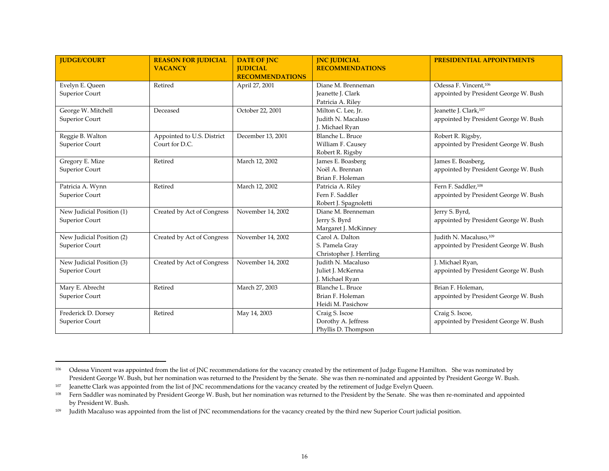| <b>IUDGE/COURT</b>                          | <b>REASON FOR JUDICIAL</b><br><b>VACANCY</b> | <b>DATE OF JNC</b><br><b>JUDICIAL</b><br><b>RECOMMENDATIONS</b> | <b>INC JUDICIAL</b><br><b>RECOMMENDATIONS</b>                 | <b>PRESIDENTIAL APPOINTMENTS</b>                                           |
|---------------------------------------------|----------------------------------------------|-----------------------------------------------------------------|---------------------------------------------------------------|----------------------------------------------------------------------------|
| Evelyn E. Queen<br>Superior Court           | Retired                                      | April 27, 2001                                                  | Diane M. Brenneman<br>Jeanette J. Clark<br>Patricia A. Riley  | Odessa F. Vincent, <sup>106</sup><br>appointed by President George W. Bush |
| George W. Mitchell<br>Superior Court        | Deceased                                     | October 22, 2001                                                | Milton C. Lee, Jr.<br>Judith N. Macaluso<br>J. Michael Ryan   | Jeanette J. Clark, <sup>107</sup><br>appointed by President George W. Bush |
| Reggie B. Walton<br>Superior Court          | Appointed to U.S. District<br>Court for D.C. | December 13, 2001                                               | Blanche L. Bruce<br>William F. Causey<br>Robert R. Rigsby     | Robert R. Rigsby,<br>appointed by President George W. Bush                 |
| Gregory E. Mize<br>Superior Court           | Retired                                      | March 12, 2002                                                  | James E. Boasberg<br>Noël A. Brennan<br>Brian F. Holeman      | James E. Boasberg,<br>appointed by President George W. Bush                |
| Patricia A. Wynn<br>Superior Court          | Retired                                      | March 12, 2002                                                  | Patricia A. Riley<br>Fern F. Saddler<br>Robert J. Spagnoletti | Fern F. Saddler, 108<br>appointed by President George W. Bush              |
| New Judicial Position (1)<br>Superior Court | Created by Act of Congress                   | November 14, 2002                                               | Diane M. Brenneman<br>Jerry S. Byrd<br>Margaret J. McKinney   | Jerry S. Byrd,<br>appointed by President George W. Bush                    |
| New Judicial Position (2)<br>Superior Court | Created by Act of Congress                   | November 14, 2002                                               | Carol A. Dalton<br>S. Pamela Gray<br>Christopher J. Herrling  | Judith N. Macaluso, 109<br>appointed by President George W. Bush           |
| New Judicial Position (3)<br>Superior Court | Created by Act of Congress                   | November 14, 2002                                               | Judith N. Macaluso<br>Juliet J. McKenna<br>J. Michael Ryan    | J. Michael Ryan,<br>appointed by President George W. Bush                  |
| Mary E. Abrecht<br>Superior Court           | Retired                                      | March 27, 2003                                                  | Blanche L. Bruce<br>Brian F. Holeman<br>Heidi M. Pasichow     | Brian F. Holeman.<br>appointed by President George W. Bush                 |
| Frederick D. Dorsey<br>Superior Court       | Retired                                      | May 14, 2003                                                    | Craig S. Iscoe<br>Dorothy A. Jeffress<br>Phyllis D. Thompson  | Craig S. Iscoe,<br>appointed by President George W. Bush                   |

<sup>106</sup> Odessa Vincent was appointed from the list of JNC recommendations for the vacancy created by the retirement of Judge Eugene Hamilton. She was nominated by President George W. Bush, but her nomination was returned to the President by the Senate. She was then re-nominated and appointed by President George W. Bush.

<sup>107</sup> Jeanette Clark was appointed from the list of JNC recommendations for the vacancy created by the retirement of Judge Evelyn Queen.

<sup>108</sup> Fern Saddler was nominated by President George W. Bush, but her nomination was returned to the President by the Senate. She was then re-nominated and appointed by President W. Bush.

<sup>109</sup> Judith Macaluso was appointed from the list of JNC recommendations for the vacancy created by the third new Superior Court judicial position.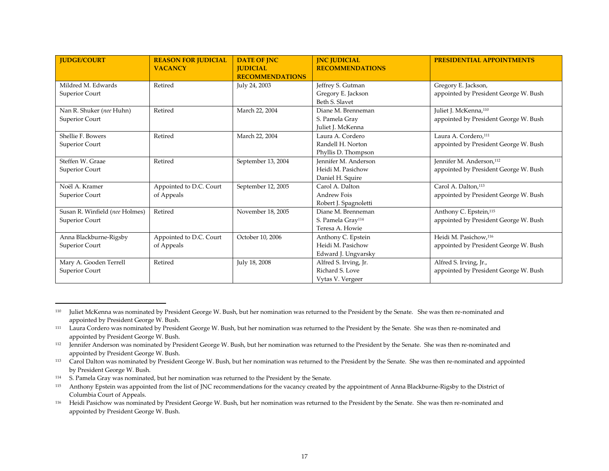| <b>JUDGE/COURT</b>             | <b>REASON FOR JUDICIAL</b><br><b>VACANCY</b> | <b>DATE OF INC</b><br><b>IUDICIAL</b> | <b>INC JUDICIAL</b><br><b>RECOMMENDATIONS</b> | <b>PRESIDENTIAL APPOINTMENTS</b>      |
|--------------------------------|----------------------------------------------|---------------------------------------|-----------------------------------------------|---------------------------------------|
|                                |                                              | <b>RECOMMENDATIONS</b>                |                                               |                                       |
| Mildred M. Edwards             | Retired                                      | July 24, 2003                         | Jeffrey S. Gutman                             | Gregory E. Jackson,                   |
| Superior Court                 |                                              |                                       | Gregory E. Jackson                            | appointed by President George W. Bush |
|                                |                                              |                                       | Beth S. Slavet                                |                                       |
| Nan R. Shuker (nee Huhn)       | Retired                                      | March 22, 2004                        | Diane M. Brenneman                            | Juliet J. McKenna, <sup>110</sup>     |
| Superior Court                 |                                              |                                       | S. Pamela Gray                                | appointed by President George W. Bush |
|                                |                                              |                                       | Juliet J. McKenna                             |                                       |
| Shellie F. Bowers              | Retired                                      | March 22, 2004                        | Laura A. Cordero                              | Laura A. Cordero, <sup>111</sup>      |
| Superior Court                 |                                              |                                       | Randell H. Norton                             | appointed by President George W. Bush |
|                                |                                              |                                       | Phyllis D. Thompson                           |                                       |
| Steffen W. Graae               | Retired                                      | September 13, 2004                    | Jennifer M. Anderson                          | Jennifer M. Anderson, <sup>112</sup>  |
| Superior Court                 |                                              |                                       | Heidi M. Pasichow                             | appointed by President George W. Bush |
|                                |                                              |                                       | Daniel H. Squire                              |                                       |
| Noël A. Kramer                 | Appointed to D.C. Court                      | September 12, 2005                    | Carol A. Dalton                               | Carol A. Dalton, <sup>113</sup>       |
| Superior Court                 | of Appeals                                   |                                       | <b>Andrew Fois</b>                            | appointed by President George W. Bush |
|                                |                                              |                                       | Robert J. Spagnoletti                         |                                       |
| Susan R. Winfield (nee Holmes) | Retired                                      | November 18, 2005                     | Diane M. Brenneman                            | Anthony C. Epstein, <sup>115</sup>    |
| Superior Court                 |                                              |                                       | S. Pamela Gray <sup>114</sup>                 | appointed by President George W. Bush |
|                                |                                              |                                       | Teresa A. Howie                               |                                       |
| Anna Blackburne-Rigsby         | Appointed to D.C. Court                      | October 10, 2006                      | Anthony C. Epstein                            | Heidi M. Pasichow, <sup>116</sup>     |
| Superior Court                 | of Appeals                                   |                                       | Heidi M. Pasichow                             | appointed by President George W. Bush |
|                                |                                              |                                       | Edward J. Ungvarsky                           |                                       |
| Mary A. Gooden Terrell         | Retired                                      | July 18, 2008                         | Alfred S. Irving, Jr.                         | Alfred S. Irving, Jr.,                |
| Superior Court                 |                                              |                                       | Richard S. Love                               | appointed by President George W. Bush |
|                                |                                              |                                       | Vytas V. Vergeer                              |                                       |

<sup>110</sup> Juliet McKenna was nominated by President George W. Bush, but her nomination was returned to the President by the Senate. She was then re-nominated and appointed by President George W. Bush.

 $^{111}$  Laura Cordero was nominated by President George W. Bush, but her nomination was returned to the President by the Senate. She was then re-nominated and appointed by President George W. Bush.

<sup>112</sup> Jennifer Anderson was nominated by President George W. Bush, but her nomination was returned to the President by the Senate. She was then re-nominated and appointed by President George W. Bush.

<sup>113</sup> Carol Dalton was nominated by President George W. Bush, but her nomination was returned to the President by the Senate. She was then re-nominated and appointed by President George W. Bush.

<sup>&</sup>lt;sup>114</sup> S. Pamela Gray was nominated, but her nomination was returned to the President by the Senate.

<sup>115</sup> Anthony Epstein was appointed from the list of JNC recommendations for the vacancy created by the appointment of Anna Blackburne-Rigsby to the District of Columbia Court of Appeals.

<sup>116</sup> Heidi Pasichow was nominated by President George W. Bush, but her nomination was returned to the President by the Senate. She was then re-nominated and appointed by President George W. Bush.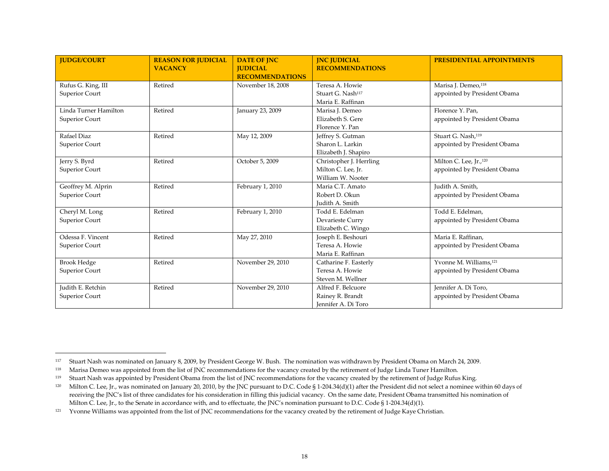| <b>JUDGE/COURT</b>    | <b>REASON FOR JUDICIAL</b><br><b>VACANCY</b> | <b>DATE OF JNC</b><br><b>JUDICIAL</b><br><b>RECOMMENDATIONS</b> | <b>INC JUDICIAL</b><br><b>RECOMMENDATIONS</b> | <b>PRESIDENTIAL APPOINTMENTS</b>   |
|-----------------------|----------------------------------------------|-----------------------------------------------------------------|-----------------------------------------------|------------------------------------|
| Rufus G. King, III    | Retired                                      | November 18, 2008                                               | Teresa A. Howie                               | Marisa J. Demeo, <sup>118</sup>    |
| Superior Court        |                                              |                                                                 | Stuart G. Nash <sup>117</sup>                 | appointed by President Obama       |
|                       |                                              |                                                                 | Maria E. Raffinan                             |                                    |
| Linda Turner Hamilton | Retired                                      | January 23, 2009                                                | Marisa J. Demeo                               | Florence Y. Pan,                   |
| Superior Court        |                                              |                                                                 | Elizabeth S. Gere                             | appointed by President Obama       |
|                       |                                              |                                                                 | Florence Y. Pan                               |                                    |
| Rafael Diaz           | Retired                                      | May 12, 2009                                                    | Jeffrey S. Gutman                             | Stuart G. Nash, <sup>119</sup>     |
| Superior Court        |                                              |                                                                 | Sharon L. Larkin                              | appointed by President Obama       |
|                       |                                              |                                                                 | Elizabeth J. Shapiro                          |                                    |
| Jerry S. Byrd         | Retired                                      | October 5, 2009                                                 | Christopher J. Herrling                       | Milton C. Lee, Jr., 120            |
| Superior Court        |                                              |                                                                 | Milton C. Lee, Jr.                            | appointed by President Obama       |
|                       |                                              |                                                                 | William W. Nooter                             |                                    |
| Geoffrey M. Alprin    | Retired                                      | February 1, 2010                                                | Maria C.T. Amato                              | Judith A. Smith,                   |
| Superior Court        |                                              |                                                                 | Robert D. Okun                                | appointed by President Obama       |
|                       |                                              |                                                                 | Judith A. Smith                               |                                    |
| Cheryl M. Long        | Retired                                      | February 1, 2010                                                | Todd E. Edelman                               | Todd E. Edelman,                   |
| Superior Court        |                                              |                                                                 | Devarieste Curry                              | appointed by President Obama       |
|                       |                                              |                                                                 | Elizabeth C. Wingo                            |                                    |
| Odessa F. Vincent     | Retired                                      | May 27, 2010                                                    | Joseph E. Beshouri                            | Maria E. Raffinan,                 |
| Superior Court        |                                              |                                                                 | Teresa A. Howie                               | appointed by President Obama       |
|                       |                                              |                                                                 | Maria E. Raffinan                             |                                    |
| <b>Brook Hedge</b>    | Retired                                      | November 29, 2010                                               | Catharine F. Easterly                         | Yvonne M. Williams, <sup>121</sup> |
| Superior Court        |                                              |                                                                 | Teresa A. Howie                               | appointed by President Obama       |
|                       |                                              |                                                                 | Steven M. Wellner                             |                                    |
| Judith E. Retchin     | Retired                                      | November 29, 2010                                               | Alfred F. Belcuore                            | Jennifer A. Di Toro,               |
| Superior Court        |                                              |                                                                 | Rainey R. Brandt                              | appointed by President Obama       |
|                       |                                              |                                                                 | Jennifer A. Di Toro                           |                                    |

<sup>117</sup> Stuart Nash was nominated on January 8, 2009, by President George W. Bush. The nomination was withdrawn by President Obama on March 24, 2009.

<sup>118</sup> Marisa Demeo was appointed from the list of JNC recommendations for the vacancy created by the retirement of Judge Linda Tuner Hamilton.

<sup>119</sup> Stuart Nash was appointed by President Obama from the list of JNC recommendations for the vacancy created by the retirement of Judge Rufus King.

<sup>120</sup> Milton C. Lee, Jr., was nominated on January 20, 2010, by the JNC pursuant to D.C. Code § 1-204.34(d)(1) after the President did not select a nominee within 60 days of receiving the JNC's list of three candidates for his consideration in filling this judicial vacancy. On the same date, President Obama transmitted his nomination of Milton C. Lee, Jr., to the Senate in accordance with, and to effectuate, the JNC's nomination pursuant to D.C. Code § 1-204.34(d)(1).

<sup>121</sup> Yvonne Williams was appointed from the list of JNC recommendations for the vacancy created by the retirement of Judge Kaye Christian.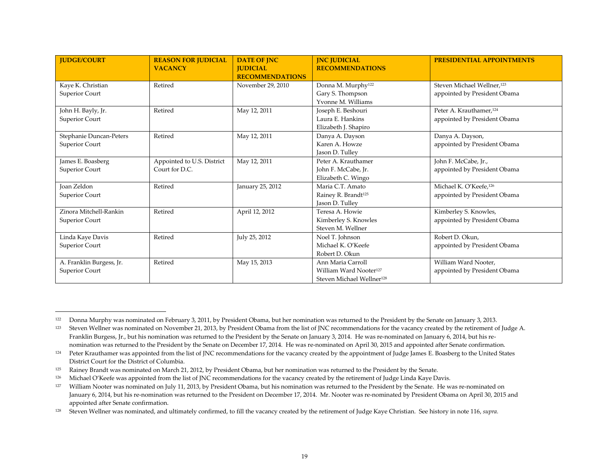| <b>JUDGE/COURT</b>                         | <b>REASON FOR JUDICIAL</b><br><b>VACANCY</b> | <b>DATE OF JNC</b><br><b>IUDICIAL</b><br><b>RECOMMENDATIONS</b> | <b>JNC JUDICIAL</b><br><b>RECOMMENDATIONS</b>                                                    | <b>PRESIDENTIAL APPOINTMENTS</b>                                       |
|--------------------------------------------|----------------------------------------------|-----------------------------------------------------------------|--------------------------------------------------------------------------------------------------|------------------------------------------------------------------------|
| Kaye K. Christian<br>Superior Court        | Retired                                      | November 29, 2010                                               | Donna M. Murphy <sup>122</sup><br>Gary S. Thompson<br>Yvonne M. Williams                         | Steven Michael Wellner, <sup>123</sup><br>appointed by President Obama |
| John H. Bayly, Jr.<br>Superior Court       | Retired                                      | May 12, 2011                                                    | Joseph E. Beshouri<br>Laura E. Hankins<br>Elizabeth J. Shapiro                                   | Peter A. Krauthamer, <sup>124</sup><br>appointed by President Obama    |
| Stephanie Duncan-Peters<br>Superior Court  | Retired                                      | May 12, 2011                                                    | Danya A. Dayson<br>Karen A. Howze<br>Jason D. Tulley                                             | Danya A. Dayson,<br>appointed by President Obama                       |
| James E. Boasberg<br>Superior Court        | Appointed to U.S. District<br>Court for D.C. | May 12, 2011                                                    | Peter A. Krauthamer<br>John F. McCabe, Jr.<br>Elizabeth C. Wingo                                 | John F. McCabe, Jr.,<br>appointed by President Obama                   |
| Joan Zeldon<br>Superior Court              | Retired                                      | January 25, 2012                                                | Maria C.T. Amato<br>Rainey R. Brandt <sup>125</sup><br>Jason D. Tulley                           | Michael K. O'Keefe, <sup>126</sup><br>appointed by President Obama     |
| Zinora Mitchell-Rankin<br>Superior Court   | Retired                                      | April 12, 2012                                                  | Teresa A. Howie<br>Kimberley S. Knowles<br>Steven M. Wellner                                     | Kimberley S. Knowles,<br>appointed by President Obama                  |
| Linda Kaye Davis<br>Superior Court         | Retired                                      | July 25, 2012                                                   | Noel T. Johnson<br>Michael K. O'Keefe<br>Robert D. Okun                                          | Robert D. Okun,<br>appointed by President Obama                        |
| A. Franklin Burgess, Jr.<br>Superior Court | Retired                                      | May 15, 2013                                                    | Ann Maria Carroll<br>William Ward Nooter <sup>127</sup><br>Steven Michael Wellner <sup>128</sup> | William Ward Nooter,<br>appointed by President Obama                   |

<sup>122</sup> Donna Murphy was nominated on February 3, 2011, by President Obama, but her nomination was returned to the President by the Senate on January 3, 2013.

<sup>&</sup>lt;sup>123</sup> Steven Wellner was nominated on November 21, 2013, by President Obama from the list of JNC recommendations for the vacancy created by the retirement of Judge A. Franklin Burgess, Jr., but his nomination was returned to the President by the Senate on January 3, 2014. He was re-nominated on January 6, 2014, but his renomination was returned to the President by the Senate on December 17, 2014. He was re-nominated on April 30, 2015 and appointed after Senate confirmation.

<sup>124</sup> Peter Krauthamer was appointed from the list of JNC recommendations for the vacancy created by the appointment of Judge James E. Boasberg to the United States District Court for the District of Columbia.

<sup>125</sup> Rainey Brandt was nominated on March 21, 2012, by President Obama, but her nomination was returned to the President by the Senate.

<sup>&</sup>lt;sup>126</sup> Michael O'Keefe was appointed from the list of JNC recommendations for the vacancy created by the retirement of Judge Linda Kaye Davis.

<sup>&</sup>lt;sup>127</sup> William Nooter was nominated on July 11, 2013, by President Obama, but his nomination was returned to the President by the Senate. He was re-nominated on January 6, 2014, but his re-nomination was returned to the President on December 17, 2014. Mr. Nooter was re-nominated by President Obama on April 30, 2015 and appointed after Senate confirmation.

<sup>128</sup> Steven Wellner was nominated, and ultimately confirmed, to fill the vacancy created by the retirement of Judge Kaye Christian. See history in note 116, *supra.*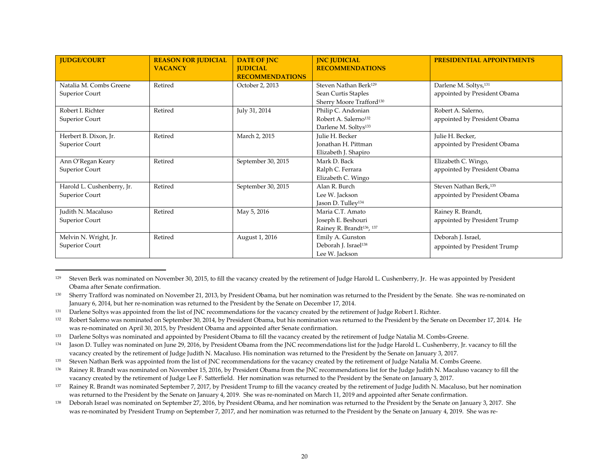| <b>JUDGE/COURT</b>                           | <b>REASON FOR JUDICIAL</b><br><b>VACANCY</b> | <b>DATE OF JNC</b><br><b>JUDICIAL</b><br><b>RECOMMENDATIONS</b> | <b>INC JUDICIAL</b><br><b>RECOMMENDATIONS</b>                                                    | <b>PRESIDENTIAL APPOINTMENTS</b>                                   |
|----------------------------------------------|----------------------------------------------|-----------------------------------------------------------------|--------------------------------------------------------------------------------------------------|--------------------------------------------------------------------|
| Natalia M. Combs Greene<br>Superior Court    | Retired                                      | October 2, 2013                                                 | Steven Nathan Berk <sup>129</sup><br>Sean Curtis Staples<br>Sherry Moore Trafford <sup>130</sup> | Darlene M. Soltys, <sup>131</sup><br>appointed by President Obama  |
| Robert J. Richter<br>Superior Court          | Retired                                      | July 31, 2014                                                   | Philip C. Andonian<br>Robert A. Salerno <sup>132</sup><br>Darlene M. Soltys <sup>133</sup>       | Robert A. Salerno,<br>appointed by President Obama                 |
| Herbert B. Dixon, Jr.<br>Superior Court      | Retired                                      | March 2, 2015                                                   | Julie H. Becker<br>Jonathan H. Pittman<br>Elizabeth J. Shapiro                                   | Julie H. Becker,<br>appointed by President Obama                   |
| Ann O'Regan Keary<br>Superior Court          | Retired                                      | September 30, 2015                                              | Mark D. Back<br>Ralph C. Ferrara<br>Elizabeth C. Wingo                                           | Elizabeth C. Wingo,<br>appointed by President Obama                |
| Harold L. Cushenberry, Jr.<br>Superior Court | Retired                                      | September 30, 2015                                              | Alan R. Burch<br>Lee W. Jackson<br>Jason D. Tulley <sup>134</sup>                                | Steven Nathan Berk, <sup>135</sup><br>appointed by President Obama |
| Judith N. Macaluso<br>Superior Court         | Retired                                      | May 5, 2016                                                     | Maria C.T. Amato<br>Joseph E. Beshouri<br>Rainey R. Brandt <sup>136</sup> , <sup>137</sup>       | Rainey R. Brandt,<br>appointed by President Trump                  |
| Melvin N. Wright, Jr.<br>Superior Court      | Retired                                      | August 1, 2016                                                  | Emily A. Gunston<br>Deborah J. Israel <sup>138</sup><br>Lee W. Jackson                           | Deborah J. Israel,<br>appointed by President Trump                 |

<sup>129</sup> Steven Berk was nominated on November 30, 2015, to fill the vacancy created by the retirement of Judge Harold L. Cushenberry, Jr. He was appointed by President Obama after Senate confirmation.

- <sup>135</sup> Steven Nathan Berk was appointed from the list of JNC recommendations for the vacancy created by the retirement of Judge Natalia M. Combs Greene.
- <sup>136</sup> Rainey R. Brandt was nominated on November 15, 2016, by President Obama from the JNC recommendations list for the Judge Judith N. Macaluso vacancy to fill the vacancy created by the retirement of Judge Lee F. Satterfield. Her nomination was returned to the President by the Senate on January 3, 2017.

<sup>&</sup>lt;sup>130</sup> Sherry Trafford was nominated on November 21, 2013, by President Obama, but her nomination was returned to the President by the Senate. She was re-nominated on January 6, 2014, but her re-nomination was returned to the President by the Senate on December 17, 2014.

<sup>&</sup>lt;sup>131</sup> Darlene Soltys was appointed from the list of JNC recommendations for the vacancy created by the retirement of Judge Robert I. Richter.

<sup>132</sup> Robert Salerno was nominated on September 30, 2014, by President Obama, but his nomination was returned to the President by the Senate on December 17, 2014. He was re-nominated on April 30, 2015, by President Obama and appointed after Senate confirmation.

<sup>&</sup>lt;sup>133</sup> Darlene Soltys was nominated and appointed by President Obama to fill the vacancy created by the retirement of Judge Natalia M. Combs-Greene.

<sup>134</sup> Jason D. Tulley was nominated on June 29, 2016, by President Obama from the JNC recommendations list for the Judge Harold L. Cushenberry, Jr. vacancy to fill the vacancy created by the retirement of Judge Judith N. Macaluso. His nomination was returned to the President by the Senate on January 3, 2017.

<sup>137</sup> Rainey R. Brandt was nominated September 7, 2017, by President Trump to fill the vacancy created by the retirement of Judge Judith N. Macaluso, but her nomination was returned to the President by the Senate on January 4, 2019. She was re-nominated on March 11, 2019 and appointed after Senate confirmation.

<sup>138</sup> Deborah Israel was nominated on September 27, 2016, by President Obama, and her nomination was returned to the President by the Senate on January 3, 2017. She was re-nominated by President Trump on September 7, 2017, and her nomination was returned to the President by the Senate on January 4, 2019. She was re-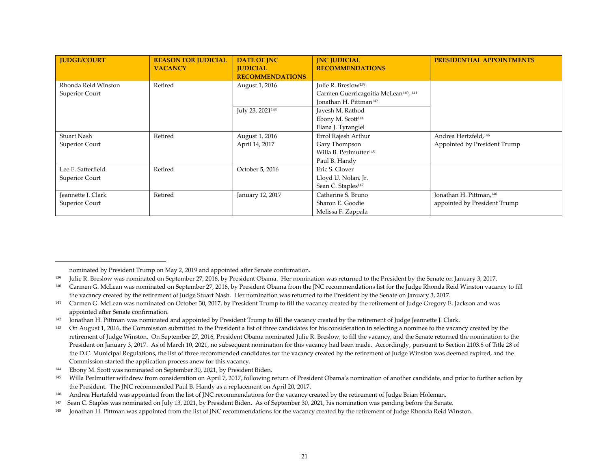| <b>IUDGE/COURT</b>    | <b>REASON FOR JUDICIAL</b><br><b>VACANCY</b> | <b>DATE OF JNC</b><br><b>IUDICIAL</b><br><b>RECOMMENDATIONS</b> | <b>INC JUDICIAL</b><br><b>RECOMMENDATIONS</b>                | <b>PRESIDENTIAL APPOINTMENTS</b>    |
|-----------------------|----------------------------------------------|-----------------------------------------------------------------|--------------------------------------------------------------|-------------------------------------|
| Rhonda Reid Winston   | Retired                                      | August 1, 2016                                                  | Julie R. Breslow <sup>139</sup>                              |                                     |
| <b>Superior Court</b> |                                              |                                                                 | Carmen Guerricagoitia McLean <sup>140</sup> , <sup>141</sup> |                                     |
|                       |                                              |                                                                 | Jonathan H. Pittman <sup>142</sup>                           |                                     |
|                       |                                              | July 23, 2021 <sup>143</sup>                                    | Jayesh M. Rathod                                             |                                     |
|                       |                                              |                                                                 | Ebony M. Scott <sup>144</sup>                                |                                     |
|                       |                                              |                                                                 | Elana J. Tyrangiel                                           |                                     |
| Stuart Nash           | Retired                                      | August 1, 2016                                                  | Errol Rajesh Arthur                                          | Andrea Hertzfeld, <sup>146</sup>    |
| Superior Court        |                                              | April 14, 2017                                                  | Gary Thompson                                                | Appointed by President Trump        |
|                       |                                              |                                                                 | Willa B. Perlmutter <sup>145</sup>                           |                                     |
|                       |                                              |                                                                 | Paul B. Handy                                                |                                     |
| Lee F. Satterfield    | Retired                                      | October 5, 2016                                                 | Eric S. Glover                                               |                                     |
| <b>Superior Court</b> |                                              |                                                                 | Lloyd U. Nolan, Jr.                                          |                                     |
|                       |                                              |                                                                 | Sean C. Staples <sup>147</sup>                               |                                     |
| Jeannette J. Clark    | Retired                                      | January 12, 2017                                                | Catherine S. Bruno                                           | Jonathan H. Pittman, <sup>148</sup> |
| <b>Superior Court</b> |                                              |                                                                 | Sharon E. Goodie                                             | appointed by President Trump        |
|                       |                                              |                                                                 | Melissa F. Zappala                                           |                                     |

nominated by President Trump on May 2, 2019 and appointed after Senate confirmation.

<sup>&</sup>lt;sup>139</sup> Julie R. Breslow was nominated on September 27, 2016, by President Obama. Her nomination was returned to the President by the Senate on January 3, 2017.

<sup>140</sup> Carmen G. McLean was nominated on September 27, 2016, by President Obama from the JNC recommendations list for the Judge Rhonda Reid Winston vacancy to fill the vacancy created by the retirement of Judge Stuart Nash. Her nomination was returned to the President by the Senate on January 3, 2017.

<sup>&</sup>lt;sup>141</sup> Carmen G. McLean was nominated on October 30, 2017, by President Trump to fill the vacancy created by the retirement of Judge Gregory E. Jackson and was appointed after Senate confirmation.

<sup>&</sup>lt;sup>142</sup> Jonathan H. Pittman was nominated and appointed by President Trump to fill the vacancy created by the retirement of Judge Jeannette J. Clark.

On August 1, 2016, the Commission submitted to the President a list of three candidates for his consideration in selecting a nominee to the vacancy created by the retirement of Judge Winston. On September 27, 2016, President Obama nominated Julie R. Breslow, to fill the vacancy, and the Senate returned the nomination to the President on January 3, 2017. As of March 10, 2021, no subsequent nomination for this vacancy had been made. Accordingly, pursuant to Section 2103.8 of Title 28 of the D.C. Municipal Regulations, the list of three recommended candidates for the vacancy created by the retirement of Judge Winston was deemed expired, and the Commission started the application process anew for this vacancy.

<sup>144</sup> Ebony M. Scott was nominated on September 30, 2021, by President Biden.

<sup>145</sup> Willa Perlmutter withdrew from consideration on April 7, 2017, following return of President Obama's nomination of another candidate, and prior to further action by the President. The JNC recommended Paul B. Handy as a replacement on April 20, 2017.

<sup>146</sup> Andrea Hertzfeld was appointed from the list of JNC recommendations for the vacancy created by the retirement of Judge Brian Holeman.

<sup>147</sup> Sean C. Staples was nominated on July 13, 2021, by President Biden. As of September 30, 2021, his nomination was pending before the Senate.

Jonathan H. Pittman was appointed from the list of JNC recommendations for the vacancy created by the retirement of Judge Rhonda Reid Winston.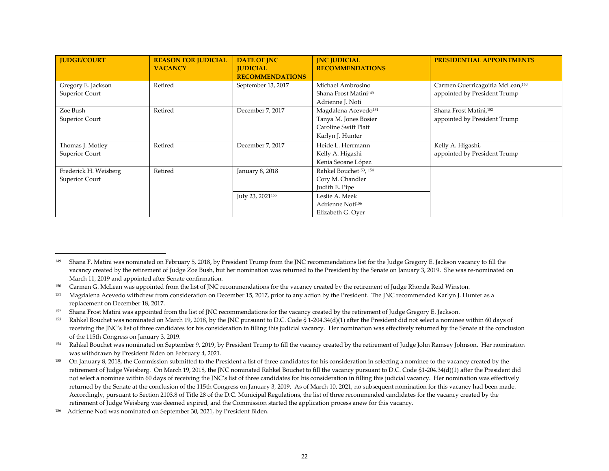| <b>JUDGE/COURT</b>                      | <b>REASON FOR JUDICIAL</b><br><b>VACANCY</b> | <b>DATE OF JNC</b><br><b>IUDICIAL</b><br><b>RECOMMENDATIONS</b> | <b>INC JUDICIAL</b><br><b>RECOMMENDATIONS</b>                                                         | <b>PRESIDENTIAL APPOINTMENTS</b>                                             |
|-----------------------------------------|----------------------------------------------|-----------------------------------------------------------------|-------------------------------------------------------------------------------------------------------|------------------------------------------------------------------------------|
| Gregory E. Jackson<br>Superior Court    | Retired                                      | September 13, 2017                                              | Michael Ambrosino<br>Shana Frost Matini <sup>149</sup><br>Adrienne J. Noti                            | Carmen Guerricagoitia McLean, <sup>150</sup><br>appointed by President Trump |
| Zoe Bush<br>Superior Court              | Retired                                      | December 7, 2017                                                | Magdalena Acevedo <sup>151</sup><br>Tanya M. Jones Bosier<br>Caroline Swift Platt<br>Karlyn J. Hunter | Shana Frost Matini, <sup>152</sup><br>appointed by President Trump           |
| Thomas J. Motley<br>Superior Court      | Retired                                      | December 7, 2017                                                | Heide L. Herrmann<br>Kelly A. Higashi<br>Kenia Seoane López                                           | Kelly A. Higashi,<br>appointed by President Trump                            |
| Frederick H. Weisberg<br>Superior Court | Retired                                      | January 8, 2018                                                 | Rahkel Bouchet <sup>153</sup> , <sup>154</sup><br>Cory M. Chandler<br>Judith E. Pipe                  |                                                                              |
|                                         |                                              | July 23, 2021 <sup>155</sup>                                    | Leslie A. Meek<br>Adrienne Noti <sup>156</sup><br>Elizabeth G. Oyer                                   |                                                                              |

<sup>&</sup>lt;sup>149</sup> Shana F. Matini was nominated on February 5, 2018, by President Trump from the JNC recommendations list for the Judge Gregory E. Jackson vacancy to fill the vacancy created by the retirement of Judge Zoe Bush, but her nomination was returned to the President by the Senate on January 3, 2019. She was re-nominated on March 11, 2019 and appointed after Senate confirmation.

<sup>150</sup> Carmen G. McLean was appointed from the list of JNC recommendations for the vacancy created by the retirement of Judge Rhonda Reid Winston.

<sup>&</sup>lt;sup>151</sup> Magdalena Acevedo withdrew from consideration on December 15, 2017, prior to any action by the President. The JNC recommended Karlyn J. Hunter as a replacement on December 18, 2017.

<sup>&</sup>lt;sup>152</sup> Shana Frost Matini was appointed from the list of JNC recommendations for the vacancy created by the retirement of Judge Gregory E. Jackson.

<sup>153</sup> Rahkel Bouchet was nominated on March 19, 2018, by the JNC pursuant to D.C. Code § 1-204.34(d)(1) after the President did not select a nominee within 60 days of receiving the JNC's list of three candidates for his consideration in filling this judicial vacancy. Her nomination was effectively returned by the Senate at the conclusion of the 115th Congress on January 3, 2019.

<sup>154</sup> Rahkel Bouchet was nominated on September 9, 2019, by President Trump to fill the vacancy created by the retirement of Judge John Ramsey Johnson. Her nomination was withdrawn by President Biden on February 4, 2021.

<sup>155</sup> On January 8, 2018, the Commission submitted to the President a list of three candidates for his consideration in selecting a nominee to the vacancy created by the retirement of Judge Weisberg. On March 19, 2018, the JNC nominated Rahkel Bouchet to fill the vacancy pursuant to D.C. Code §1-204.34(d)(1) after the President did not select a nominee within 60 days of receiving the JNC's list of three candidates for his consideration in filling this judicial vacancy. Her nomination was effectively returned by the Senate at the conclusion of the 115th Congress on January 3, 2019. As of March 10, 2021, no subsequent nomination for this vacancy had been made. Accordingly, pursuant to Section 2103.8 of Title 28 of the D.C. Municipal Regulations, the list of three recommended candidates for the vacancy created by the retirement of Judge Weisberg was deemed expired, and the Commission started the application process anew for this vacancy.

<sup>156</sup> Adrienne Noti was nominated on September 30, 2021, by President Biden.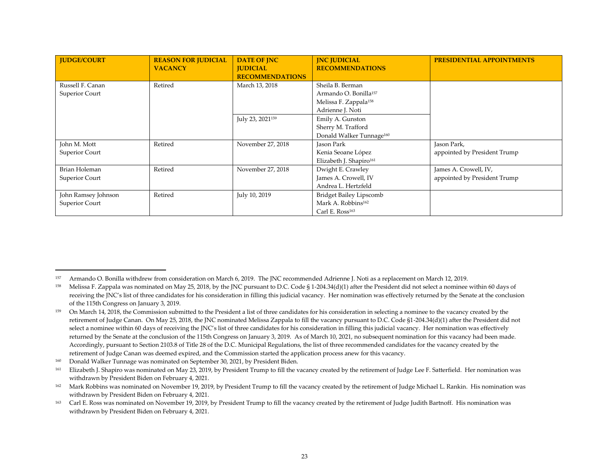| <b>JUDGE/COURT</b>                     | <b>REASON FOR JUDICIAL</b><br><b>VACANCY</b> | <b>DATE OF JNC</b><br><b>JUDICIAL</b><br><b>RECOMMENDATIONS</b> | <b>INC JUDICIAL</b><br><b>RECOMMENDATIONS</b>                                                                  | <b>PRESIDENTIAL APPOINTMENTS</b>                      |
|----------------------------------------|----------------------------------------------|-----------------------------------------------------------------|----------------------------------------------------------------------------------------------------------------|-------------------------------------------------------|
| Russell F. Canan<br>Superior Court     | Retired                                      | March 13, 2018                                                  | Sheila B. Berman<br>Armando O. Bonilla <sup>157</sup><br>Melissa F. Zappala <sup>158</sup><br>Adrienne J. Noti |                                                       |
|                                        |                                              | July 23, 2021 <sup>159</sup>                                    | Emily A. Gunston<br>Sherry M. Trafford<br>Donald Walker Tunnage <sup>160</sup>                                 |                                                       |
| John M. Mott<br>Superior Court         | Retired                                      | November 27, 2018                                               | Jason Park<br>Kenia Seoane López<br>Elizabeth J. Shapiro <sup>161</sup>                                        | Jason Park,<br>appointed by President Trump           |
| <b>Brian Holeman</b><br>Superior Court | Retired                                      | November 27, 2018                                               | Dwight E. Crawley<br>James A. Crowell, IV<br>Andrea L. Hertzfeld                                               | James A. Crowell, IV,<br>appointed by President Trump |
| John Ramsey Johnson<br>Superior Court  | Retired                                      | July 10, 2019                                                   | <b>Bridget Bailey Lipscomb</b><br>Mark A. Robbins <sup>162</sup><br>Carl E. Ross <sup>163</sup>                |                                                       |

<sup>157</sup> Armando O. Bonilla withdrew from consideration on March 6, 2019. The JNC recommended Adrienne J. Noti as a replacement on March 12, 2019.

<sup>158</sup> Melissa F. Zappala was nominated on May 25, 2018, by the JNC pursuant to D.C. Code § 1-204.34(d)(1) after the President did not select a nominee within 60 days of receiving the JNC's list of three candidates for his consideration in filling this judicial vacancy. Her nomination was effectively returned by the Senate at the conclusion of the 115th Congress on January 3, 2019.

<sup>&</sup>lt;sup>159</sup> On March 14, 2018, the Commission submitted to the President a list of three candidates for his consideration in selecting a nominee to the vacancy created by the retirement of Judge Canan. On May 25, 2018, the JNC nominated Melissa Zappala to fill the vacancy pursuant to D.C. Code §1-204.34(d)(1) after the President did not select a nominee within 60 days of receiving the JNC's list of three candidates for his consideration in filling this judicial vacancy. Her nomination was effectively returned by the Senate at the conclusion of the 115th Congress on January 3, 2019. As of March 10, 2021, no subsequent nomination for this vacancy had been made. Accordingly, pursuant to Section 2103.8 of Title 28 of the D.C. Municipal Regulations, the list of three recommended candidates for the vacancy created by the retirement of Judge Canan was deemed expired, and the Commission started the application process anew for this vacancy.

<sup>160</sup> Donald Walker Tunnage was nominated on September 30, 2021, by President Biden.

<sup>&</sup>lt;sup>161</sup> Elizabeth J. Shapiro was nominated on May 23, 2019, by President Trump to fill the vacancy created by the retirement of Judge Lee F. Satterfield. Her nomination was withdrawn by President Biden on February 4, 2021.

<sup>&</sup>lt;sup>162</sup> Mark Robbins was nominated on November 19, 2019, by President Trump to fill the vacancy created by the retirement of Judge Michael L. Rankin. His nomination was withdrawn by President Biden on February 4, 2021.

<sup>163</sup> Carl E. Ross was nominated on November 19, 2019, by President Trump to fill the vacancy created by the retirement of Judge Judith Bartnoff. His nomination was withdrawn by President Biden on February 4, 2021.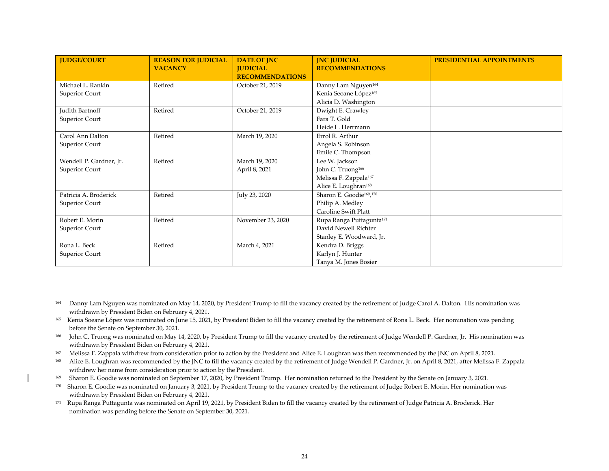| <b>JUDGE/COURT</b>      | <b>REASON FOR JUDICIAL</b> | <b>DATE OF JNC</b>     | <b>INC JUDICIAL</b>                              | PRESIDENTIAL APPOINTMENTS |
|-------------------------|----------------------------|------------------------|--------------------------------------------------|---------------------------|
|                         | <b>VACANCY</b>             | <b>JUDICIAL</b>        | <b>RECOMMENDATIONS</b>                           |                           |
|                         |                            | <b>RECOMMENDATIONS</b> |                                                  |                           |
| Michael L. Rankin       | Retired                    | October 21, 2019       | Danny Lam Nguyen <sup>164</sup>                  |                           |
| Superior Court          |                            |                        | Kenia Seoane López <sup>165</sup>                |                           |
|                         |                            |                        | Alicia D. Washington                             |                           |
| Judith Bartnoff         | Retired                    | October 21, 2019       | Dwight E. Crawley                                |                           |
| Superior Court          |                            |                        | Fara T. Gold                                     |                           |
|                         |                            |                        | Heide L. Herrmann                                |                           |
| Carol Ann Dalton        | Retired                    | March 19, 2020         | Errol R. Arthur                                  |                           |
| Superior Court          |                            |                        | Angela S. Robinson                               |                           |
|                         |                            |                        | Emile C. Thompson                                |                           |
| Wendell P. Gardner, Jr. | Retired                    | March 19, 2020         | Lee W. Jackson                                   |                           |
| Superior Court          |                            | April 8, 2021          | John C. Truong <sup>166</sup>                    |                           |
|                         |                            |                        | Melissa F. Zappala <sup>167</sup>                |                           |
|                         |                            |                        | Alice E. Loughran <sup>168</sup>                 |                           |
| Patricia A. Broderick   | Retired                    | July 23, 2020          | Sharon E. Goodie <sup>169</sup> , <sup>170</sup> |                           |
| Superior Court          |                            |                        | Philip A. Medley                                 |                           |
|                         |                            |                        | Caroline Swift Platt                             |                           |
| Robert E. Morin         | Retired                    | November 23, 2020      | Rupa Ranga Puttagunta <sup>171</sup>             |                           |
| Superior Court          |                            |                        | David Newell Richter                             |                           |
|                         |                            |                        | Stanley E. Woodward, Jr.                         |                           |
| Rona L. Beck            | Retired                    | March 4, 2021          | Kendra D. Briggs                                 |                           |
| Superior Court          |                            |                        | Karlyn J. Hunter                                 |                           |
|                         |                            |                        | Tanya M. Jones Bosier                            |                           |

<sup>164</sup> Danny Lam Nguyen was nominated on May 14, 2020, by President Trump to fill the vacancy created by the retirement of Judge Carol A. Dalton. His nomination was withdrawn by President Biden on February 4, 2021.

<sup>165</sup> Kenia Soeane López was nominated on June 15, 2021, by President Biden to fill the vacancy created by the retirement of Rona L. Beck. Her nomination was pending before the Senate on September 30, 2021.

<sup>166</sup> John C. Truong was nominated on May 14, 2020, by President Trump to fill the vacancy created by the retirement of Judge Wendell P. Gardner, Jr. His nomination was withdrawn by President Biden on February 4, 2021.

<sup>167</sup> Melissa F. Zappala withdrew from consideration prior to action by the President and Alice E. Loughran was then recommended by the JNC on April 8, 2021.

<sup>168</sup> Alice E. Loughran was recommended by the JNC to fill the vacancy created by the retirement of Judge Wendell P. Gardner, Jr. on April 8, 2021, after Melissa F. Zappala withdrew her name from consideration prior to action by the President.

<sup>&</sup>lt;sup>169</sup> Sharon E. Goodie was nominated on September 17, 2020, by President Trump. Her nomination returned to the President by the Senate on January 3, 2021.

<sup>&</sup>lt;sup>170</sup> Sharon E. Goodie was nominated on January 3, 2021, by President Trump to the vacancy created by the retirement of Judge Robert E. Morin. Her nomination was withdrawn by President Biden on February 4, 2021.

<sup>&</sup>lt;sup>171</sup> Rupa Ranga Puttagunta was nominated on April 19, 2021, by President Biden to fill the vacancy created by the retirement of Judge Patricia A. Broderick. Her nomination was pending before the Senate on September 30, 2021.